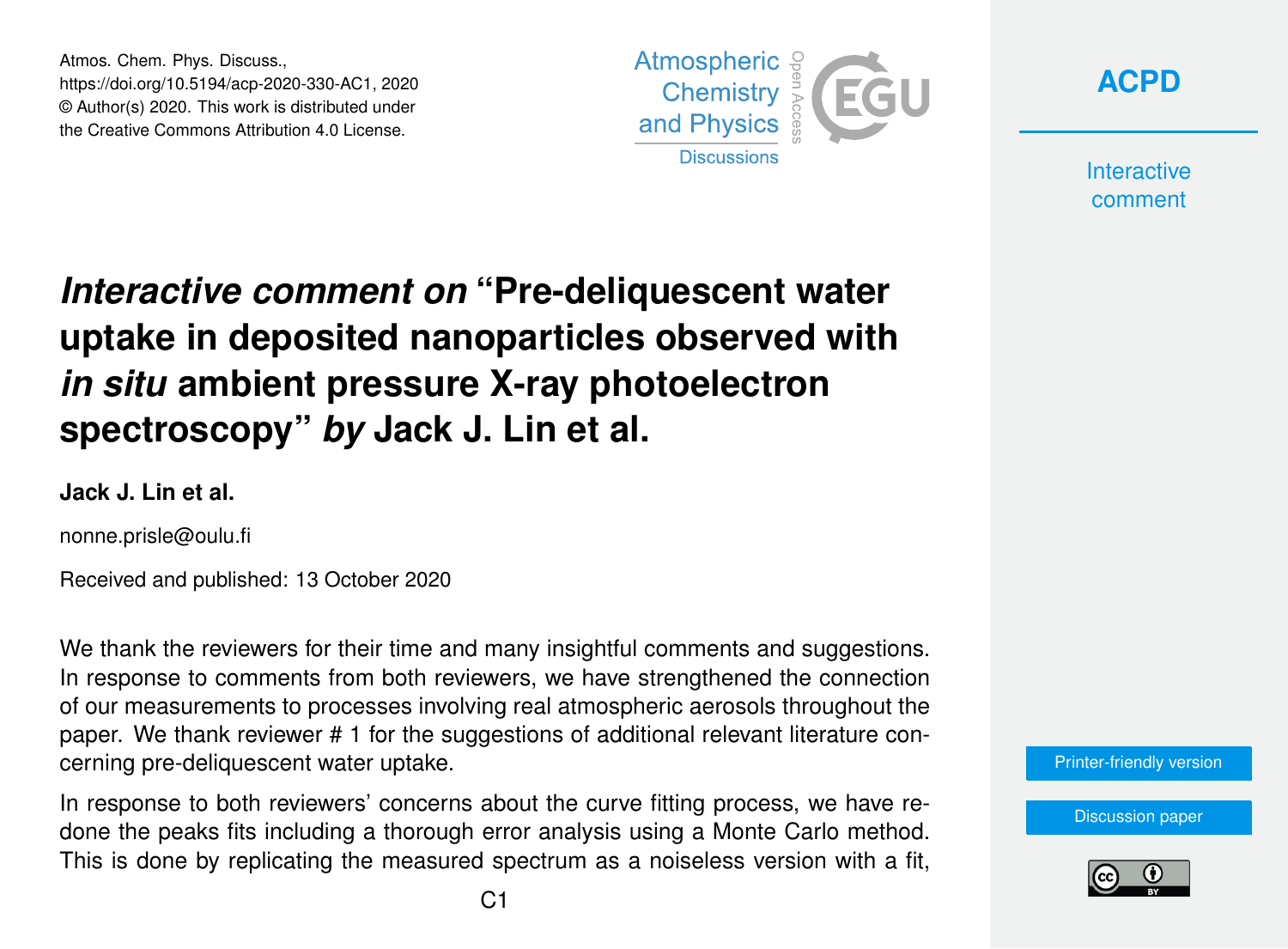Atmos. Chem. Phys. Discuss., https://doi.org/10.5194/acp-2020-330-AC1, 2020 © Author(s) 2020. This work is distributed under the Creative Commons Attribution 4.0 License.





**Interactive** comment

# *Interactive comment on* **"Pre-deliquescent water uptake in deposited nanoparticles observed with** *in situ* **ambient pressure X-ray photoelectron spectroscopy"** *by* **Jack J. Lin et al.**

### **Jack J. Lin et al.**

nonne.prisle@oulu.fi

Received and published: 13 October 2020

We thank the reviewers for their time and many insightful comments and suggestions. In response to comments from both reviewers, we have strengthened the connection of our measurements to processes involving real atmospheric aerosols throughout the paper. We thank reviewer # 1 for the suggestions of additional relevant literature concerning pre-deliquescent water uptake.

In response to both reviewers' concerns about the curve fitting process, we have redone the peaks fits including a thorough error analysis using a Monte Carlo method. This is done by replicating the measured spectrum as a noiseless version with a fit,

[Printer-friendly version](https://acp.copernicus.org/preprints/acp-2020-330/acp-2020-330-AC1-print.pdf)

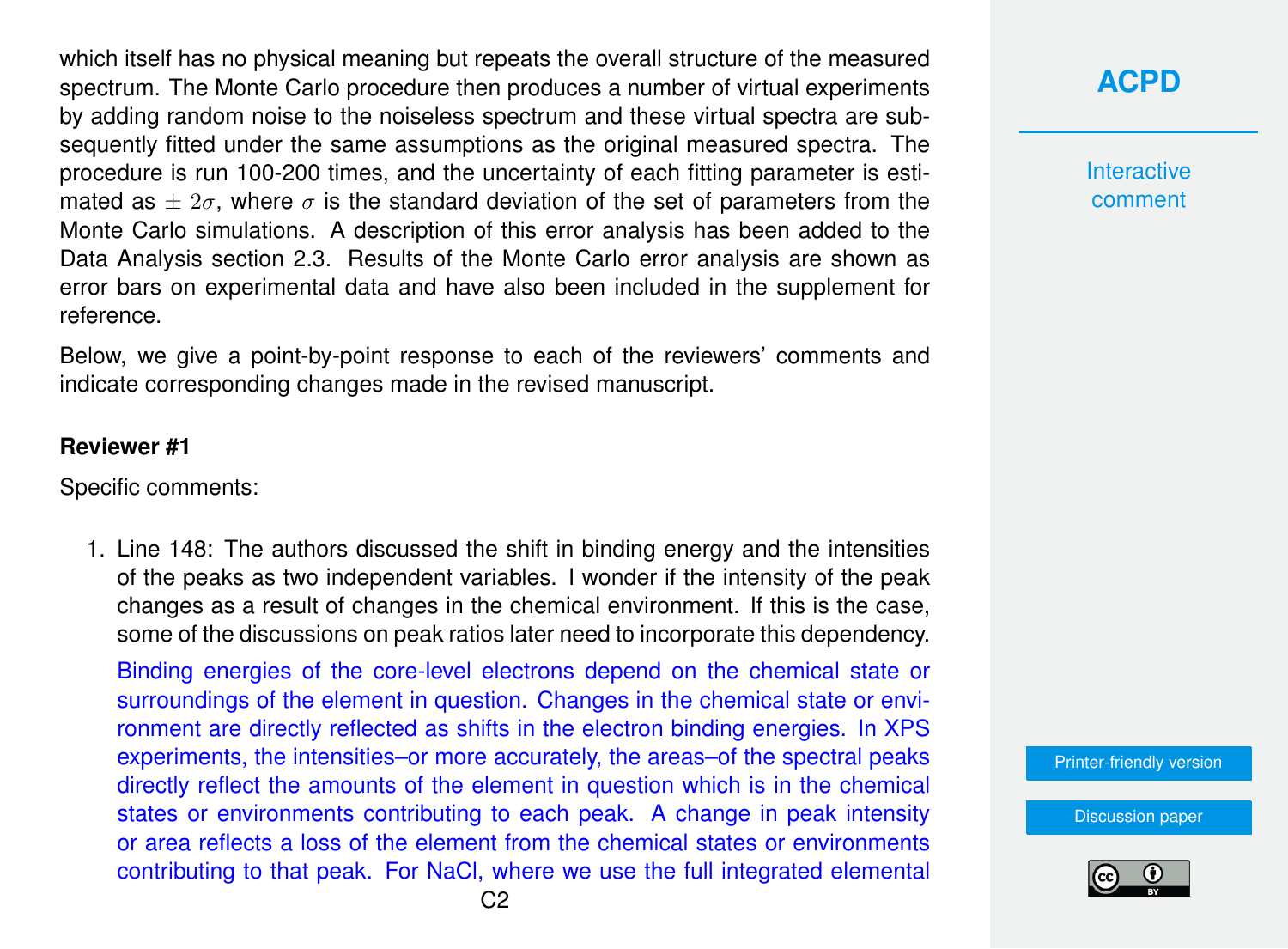which itself has no physical meaning but repeats the overall structure of the measured spectrum. The Monte Carlo procedure then produces a number of virtual experiments by adding random noise to the noiseless spectrum and these virtual spectra are subsequently fitted under the same assumptions as the original measured spectra. The procedure is run 100-200 times, and the uncertainty of each fitting parameter is estimated as  $\pm 2\sigma$ , where  $\sigma$  is the standard deviation of the set of parameters from the Monte Carlo simulations. A description of this error analysis has been added to the Data Analysis section 2.3. Results of the Monte Carlo error analysis are shown as error bars on experimental data and have also been included in the supplement for reference.

Below, we give a point-by-point response to each of the reviewers' comments and indicate corresponding changes made in the revised manuscript.

#### **Reviewer #1**

Specific comments:

1. Line 148: The authors discussed the shift in binding energy and the intensities of the peaks as two independent variables. I wonder if the intensity of the peak changes as a result of changes in the chemical environment. If this is the case, some of the discussions on peak ratios later need to incorporate this dependency.

Binding energies of the core-level electrons depend on the chemical state or surroundings of the element in question. Changes in the chemical state or environment are directly reflected as shifts in the electron binding energies. In XPS experiments, the intensities–or more accurately, the areas–of the spectral peaks directly reflect the amounts of the element in question which is in the chemical states or environments contributing to each peak. A change in peak intensity or area reflects a loss of the element from the chemical states or environments contributing to that peak. For NaCl, where we use the full integrated elemental

# **[ACPD](https://acp.copernicus.org/preprints/)**

**Interactive** comment

[Printer-friendly version](https://acp.copernicus.org/preprints/acp-2020-330/acp-2020-330-AC1-print.pdf)

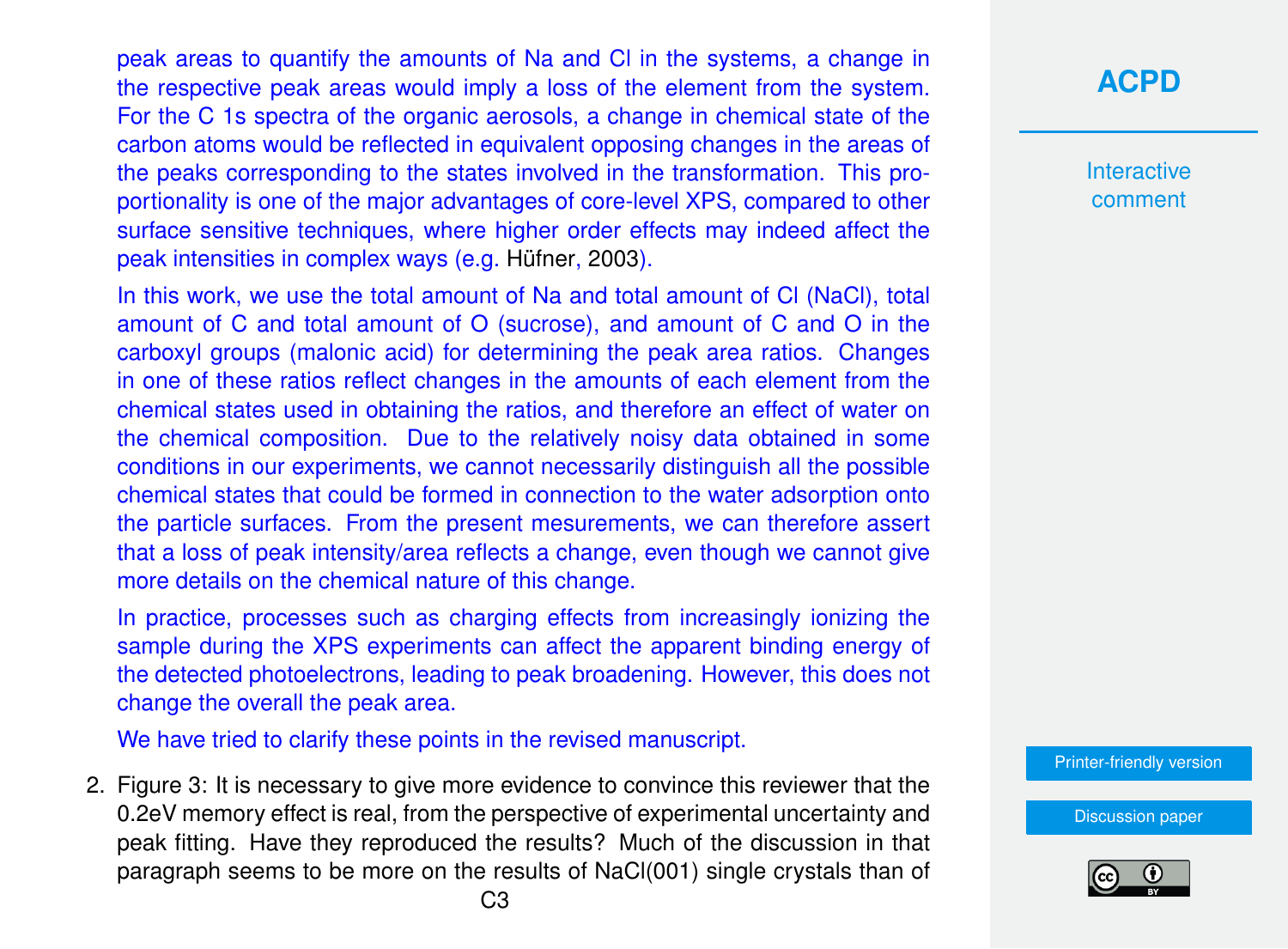peak areas to quantify the amounts of Na and Cl in the systems, a change in the respective peak areas would imply a loss of the element from the system. For the C 1s spectra of the organic aerosols, a change in chemical state of the carbon atoms would be reflected in equivalent opposing changes in the areas of the peaks corresponding to the states involved in the transformation. This proportionality is one of the major advantages of core-level XPS, compared to other surface sensitive techniques, where higher order effects may indeed affect the peak intensities in complex ways (e.g. [Hüfner,](#page-23-0) [2003\)](#page-23-0).

In this work, we use the total amount of Na and total amount of CI (NaCI), total amount of C and total amount of O (sucrose), and amount of C and O in the carboxyl groups (malonic acid) for determining the peak area ratios. Changes in one of these ratios reflect changes in the amounts of each element from the chemical states used in obtaining the ratios, and therefore an effect of water on the chemical composition. Due to the relatively noisy data obtained in some conditions in our experiments, we cannot necessarily distinguish all the possible chemical states that could be formed in connection to the water adsorption onto the particle surfaces. From the present mesurements, we can therefore assert that a loss of peak intensity/area reflects a change, even though we cannot give more details on the chemical nature of this change.

In practice, processes such as charging effects from increasingly ionizing the sample during the XPS experiments can affect the apparent binding energy of the detected photoelectrons, leading to peak broadening. However, this does not change the overall the peak area.

We have tried to clarify these points in the revised manuscript.

2. Figure 3: It is necessary to give more evidence to convince this reviewer that the 0.2eV memory effect is real, from the perspective of experimental uncertainty and peak fitting. Have they reproduced the results? Much of the discussion in that paragraph seems to be more on the results of NaCl(001) single crystals than of

# **[ACPD](https://acp.copernicus.org/preprints/)**

**Interactive** comment

[Printer-friendly version](https://acp.copernicus.org/preprints/acp-2020-330/acp-2020-330-AC1-print.pdf)

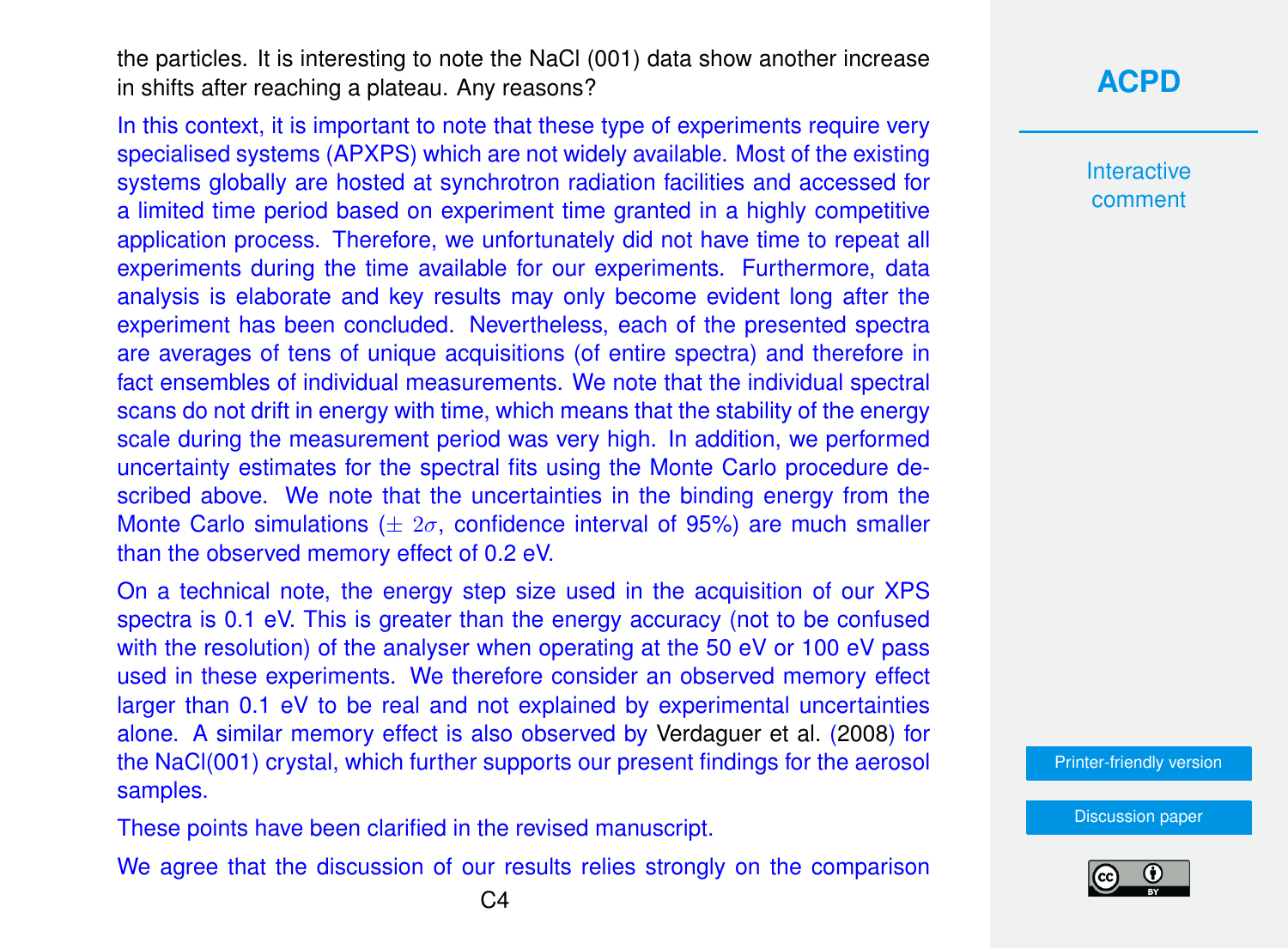the particles. It is interesting to note the NaCl (001) data show another increase in shifts after reaching a plateau. Any reasons?

In this context, it is important to note that these type of experiments require very specialised systems (APXPS) which are not widely available. Most of the existing systems globally are hosted at synchrotron radiation facilities and accessed for a limited time period based on experiment time granted in a highly competitive application process. Therefore, we unfortunately did not have time to repeat all experiments during the time available for our experiments. Furthermore, data analysis is elaborate and key results may only become evident long after the experiment has been concluded. Nevertheless, each of the presented spectra are averages of tens of unique acquisitions (of entire spectra) and therefore in fact ensembles of individual measurements. We note that the individual spectral scans do not drift in energy with time, which means that the stability of the energy scale during the measurement period was very high. In addition, we performed uncertainty estimates for the spectral fits using the Monte Carlo procedure described above. We note that the uncertainties in the binding energy from the Monte Carlo simulations ( $\pm 2\sigma$ , confidence interval of 95%) are much smaller than the observed memory effect of 0.2 eV.

On a technical note, the energy step size used in the acquisition of our XPS spectra is 0.1 eV. This is greater than the energy accuracy (not to be confused with the resolution) of the analyser when operating at the 50 eV or 100 eV pass used in these experiments. We therefore consider an observed memory effect larger than 0.1 eV to be real and not explained by experimental uncertainties alone. A similar memory effect is also observed by [Verdaguer et al.](#page-25-0) [\(2008\)](#page-25-0) for the NaCl(001) crystal, which further supports our present findings for the aerosol samples.

These points have been clarified in the revised manuscript.

We agree that the discussion of our results relies strongly on the comparison

# **[ACPD](https://acp.copernicus.org/preprints/)**

Interactive comment

[Printer-friendly version](https://acp.copernicus.org/preprints/acp-2020-330/acp-2020-330-AC1-print.pdf)

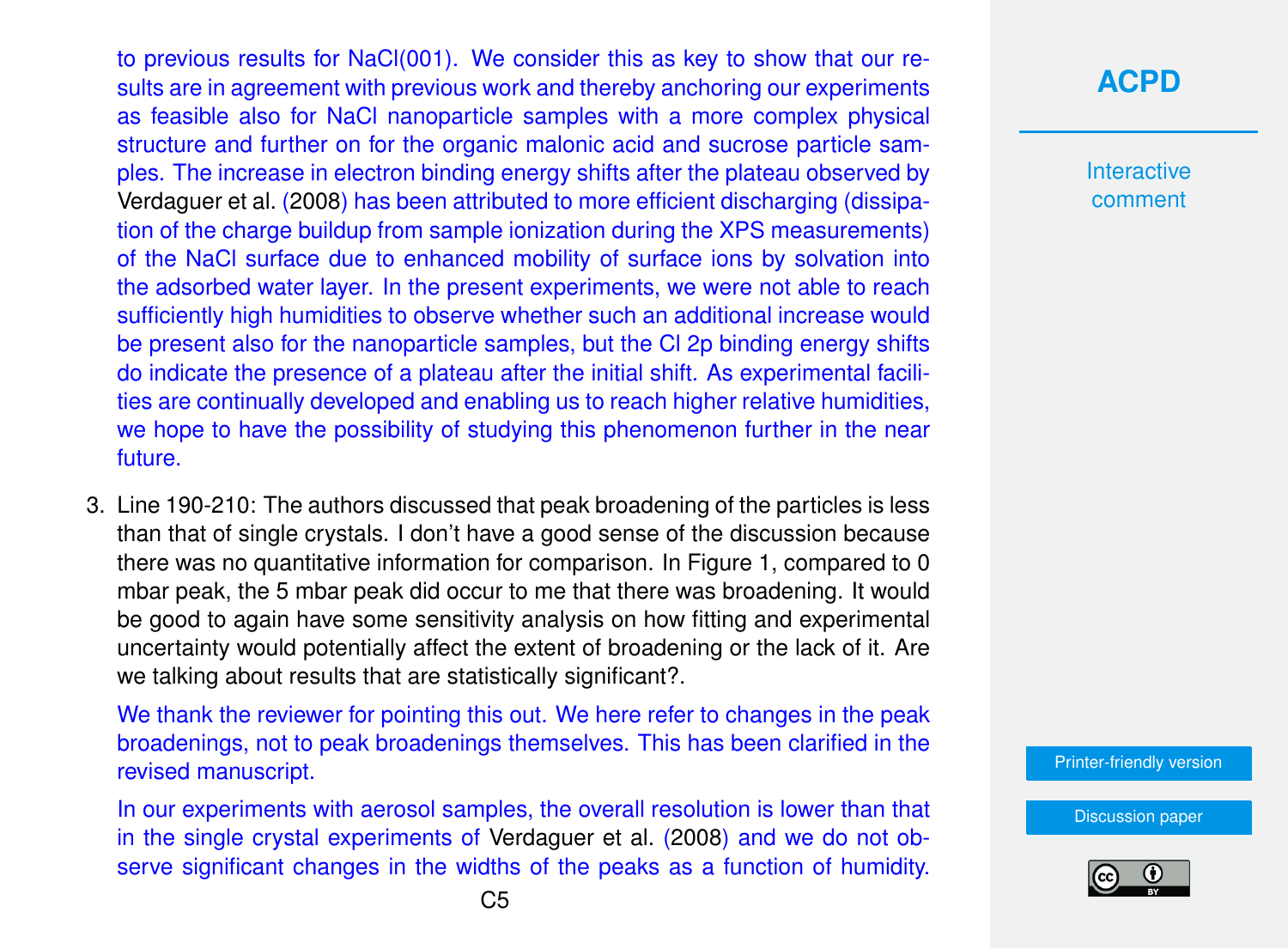to previous results for NaCl(001). We consider this as key to show that our results are in agreement with previous work and thereby anchoring our experiments as feasible also for NaCl nanoparticle samples with a more complex physical structure and further on for the organic malonic acid and sucrose particle samples. The increase in electron binding energy shifts after the plateau observed by [Verdaguer et al.](#page-25-0) [\(2008\)](#page-25-0) has been attributed to more efficient discharging (dissipation of the charge buildup from sample ionization during the XPS measurements) of the NaCl surface due to enhanced mobility of surface ions by solvation into the adsorbed water layer. In the present experiments, we were not able to reach sufficiently high humidities to observe whether such an additional increase would be present also for the nanoparticle samples, but the Cl 2p binding energy shifts do indicate the presence of a plateau after the initial shift. As experimental facilities are continually developed and enabling us to reach higher relative humidities, we hope to have the possibility of studying this phenomenon further in the near future.

3. Line 190-210: The authors discussed that peak broadening of the particles is less than that of single crystals. I don't have a good sense of the discussion because there was no quantitative information for comparison. In Figure 1, compared to 0 mbar peak, the 5 mbar peak did occur to me that there was broadening. It would be good to again have some sensitivity analysis on how fitting and experimental uncertainty would potentially affect the extent of broadening or the lack of it. Are we talking about results that are statistically significant?.

We thank the reviewer for pointing this out. We here refer to changes in the peak broadenings, not to peak broadenings themselves. This has been clarified in the revised manuscript.

In our experiments with aerosol samples, the overall resolution is lower than that in the single crystal experiments of [Verdaguer et al.](#page-25-0) [\(2008\)](#page-25-0) and we do not observe significant changes in the widths of the peaks as a function of humidity.

**[ACPD](https://acp.copernicus.org/preprints/)**

Interactive comment

[Printer-friendly version](https://acp.copernicus.org/preprints/acp-2020-330/acp-2020-330-AC1-print.pdf)

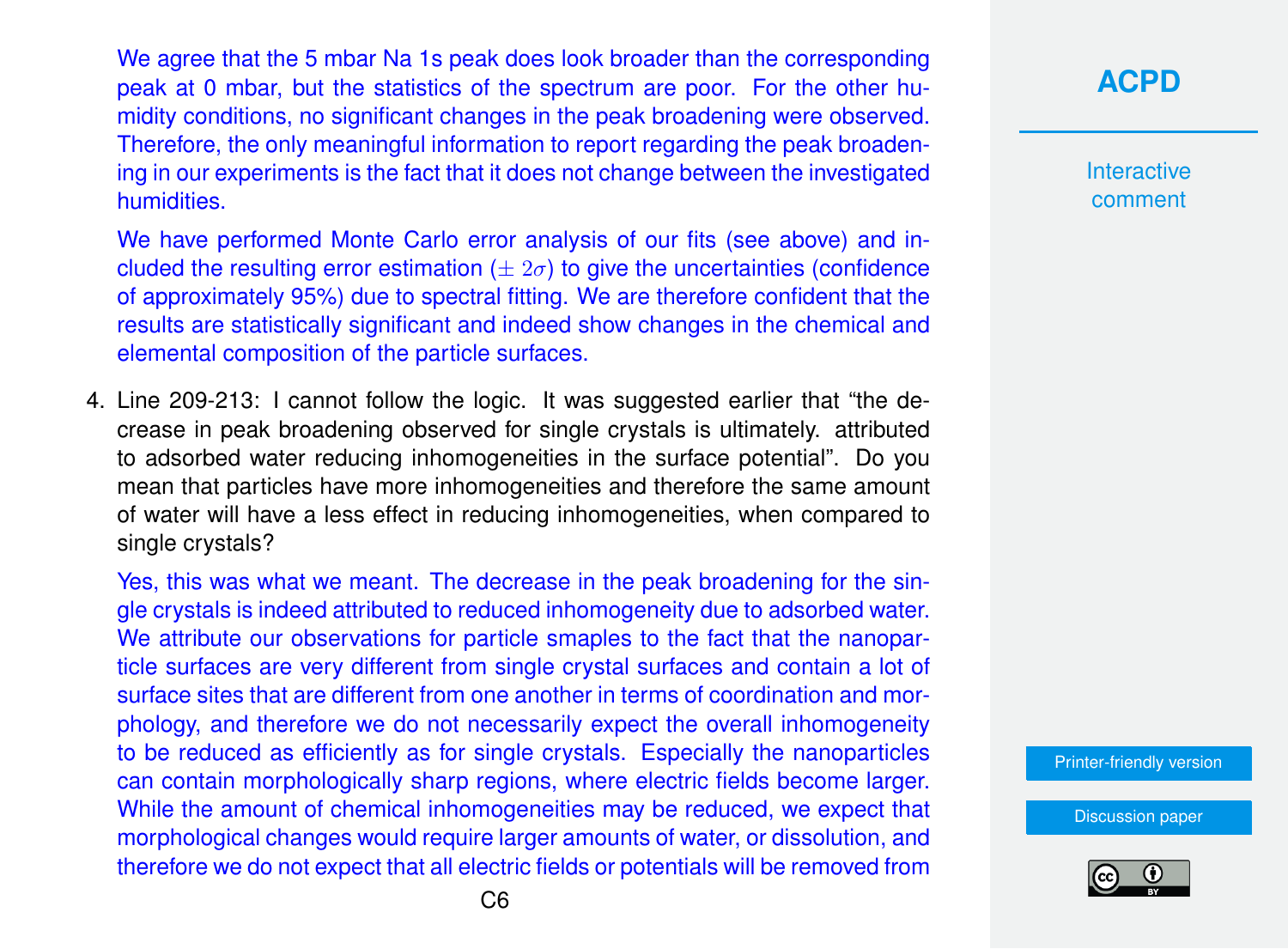We agree that the 5 mbar Na 1s peak does look broader than the corresponding peak at 0 mbar, but the statistics of the spectrum are poor. For the other humidity conditions, no significant changes in the peak broadening were observed. Therefore, the only meaningful information to report regarding the peak broadening in our experiments is the fact that it does not change between the investigated humidities.

We have performed Monte Carlo error analysis of our fits (see above) and included the resulting error estimation ( $\pm 2\sigma$ ) to give the uncertainties (confidence of approximately 95%) due to spectral fitting. We are therefore confident that the results are statistically significant and indeed show changes in the chemical and elemental composition of the particle surfaces.

4. Line 209-213: I cannot follow the logic. It was suggested earlier that "the decrease in peak broadening observed for single crystals is ultimately. attributed to adsorbed water reducing inhomogeneities in the surface potential". Do you mean that particles have more inhomogeneities and therefore the same amount of water will have a less effect in reducing inhomogeneities, when compared to single crystals?

Yes, this was what we meant. The decrease in the peak broadening for the single crystals is indeed attributed to reduced inhomogeneity due to adsorbed water. We attribute our observations for particle smaples to the fact that the nanoparticle surfaces are very different from single crystal surfaces and contain a lot of surface sites that are different from one another in terms of coordination and morphology, and therefore we do not necessarily expect the overall inhomogeneity to be reduced as efficiently as for single crystals. Especially the nanoparticles can contain morphologically sharp regions, where electric fields become larger. While the amount of chemical inhomogeneities may be reduced, we expect that morphological changes would require larger amounts of water, or dissolution, and therefore we do not expect that all electric fields or potentials will be removed from

**[ACPD](https://acp.copernicus.org/preprints/)**

**Interactive** comment

[Printer-friendly version](https://acp.copernicus.org/preprints/acp-2020-330/acp-2020-330-AC1-print.pdf)

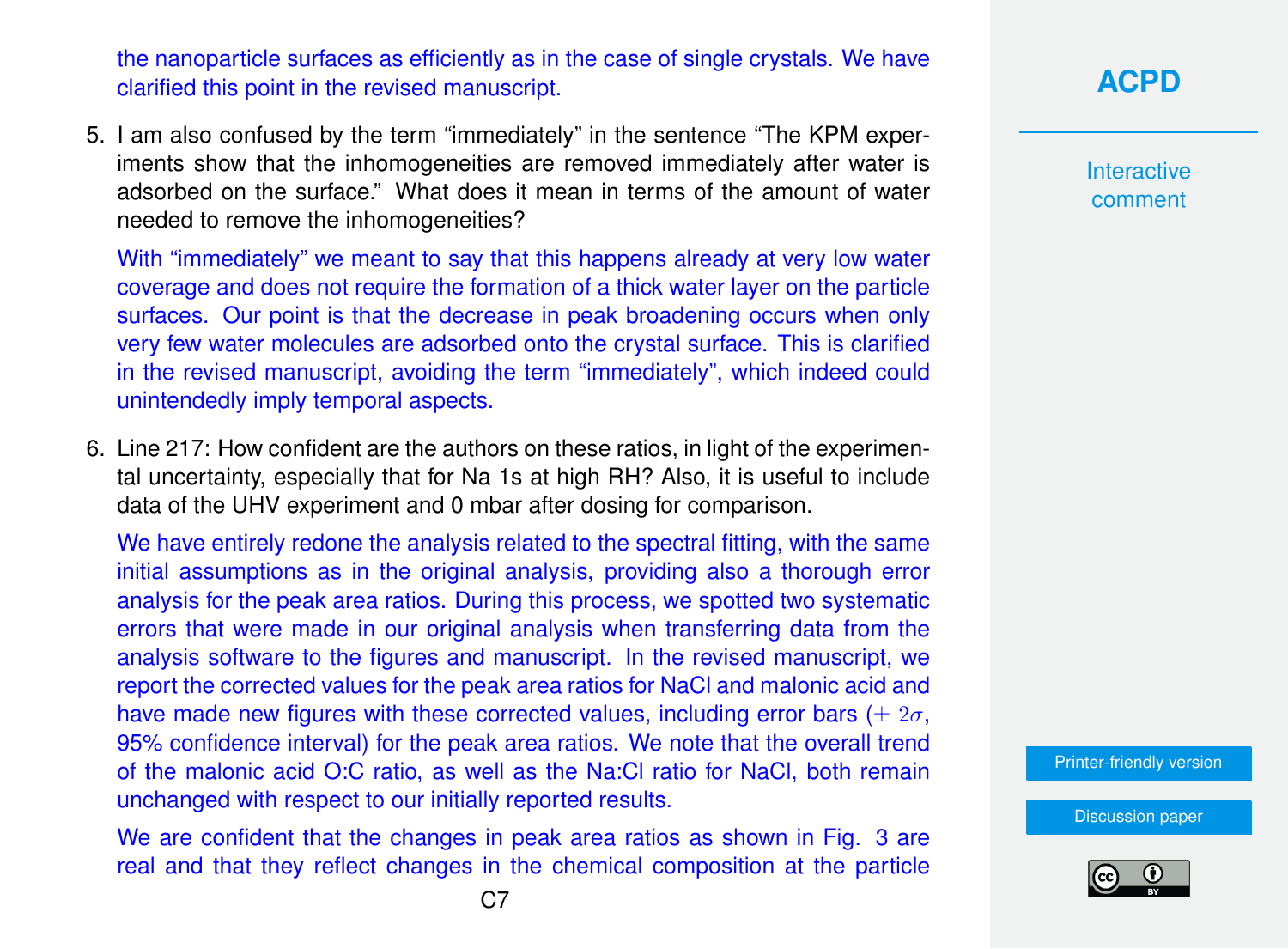the nanoparticle surfaces as efficiently as in the case of single crystals. We have clarified this point in the revised manuscript.

5. I am also confused by the term "immediately" in the sentence "The KPM experiments show that the inhomogeneities are removed immediately after water is adsorbed on the surface." What does it mean in terms of the amount of water needed to remove the inhomogeneities?

With "immediately" we meant to say that this happens already at very low water coverage and does not require the formation of a thick water layer on the particle surfaces. Our point is that the decrease in peak broadening occurs when only very few water molecules are adsorbed onto the crystal surface. This is clarified in the revised manuscript, avoiding the term "immediately", which indeed could unintendedly imply temporal aspects.

6. Line 217: How confident are the authors on these ratios, in light of the experimental uncertainty, especially that for Na 1s at high RH? Also, it is useful to include data of the UHV experiment and 0 mbar after dosing for comparison.

We have entirely redone the analysis related to the spectral fitting, with the same initial assumptions as in the original analysis, providing also a thorough error analysis for the peak area ratios. During this process, we spotted two systematic errors that were made in our original analysis when transferring data from the analysis software to the figures and manuscript. In the revised manuscript, we report the corrected values for the peak area ratios for NaCl and malonic acid and have made new figures with these corrected values, including error bars ( $\pm 2\sigma$ , 95% confidence interval) for the peak area ratios. We note that the overall trend of the malonic acid O:C ratio, as well as the Na:Cl ratio for NaCl, both remain unchanged with respect to our initially reported results.

We are confident that the changes in peak area ratios as shown in Fig. 3 are real and that they reflect changes in the chemical composition at the particle **[ACPD](https://acp.copernicus.org/preprints/)**

**Interactive** comment

[Printer-friendly version](https://acp.copernicus.org/preprints/acp-2020-330/acp-2020-330-AC1-print.pdf)

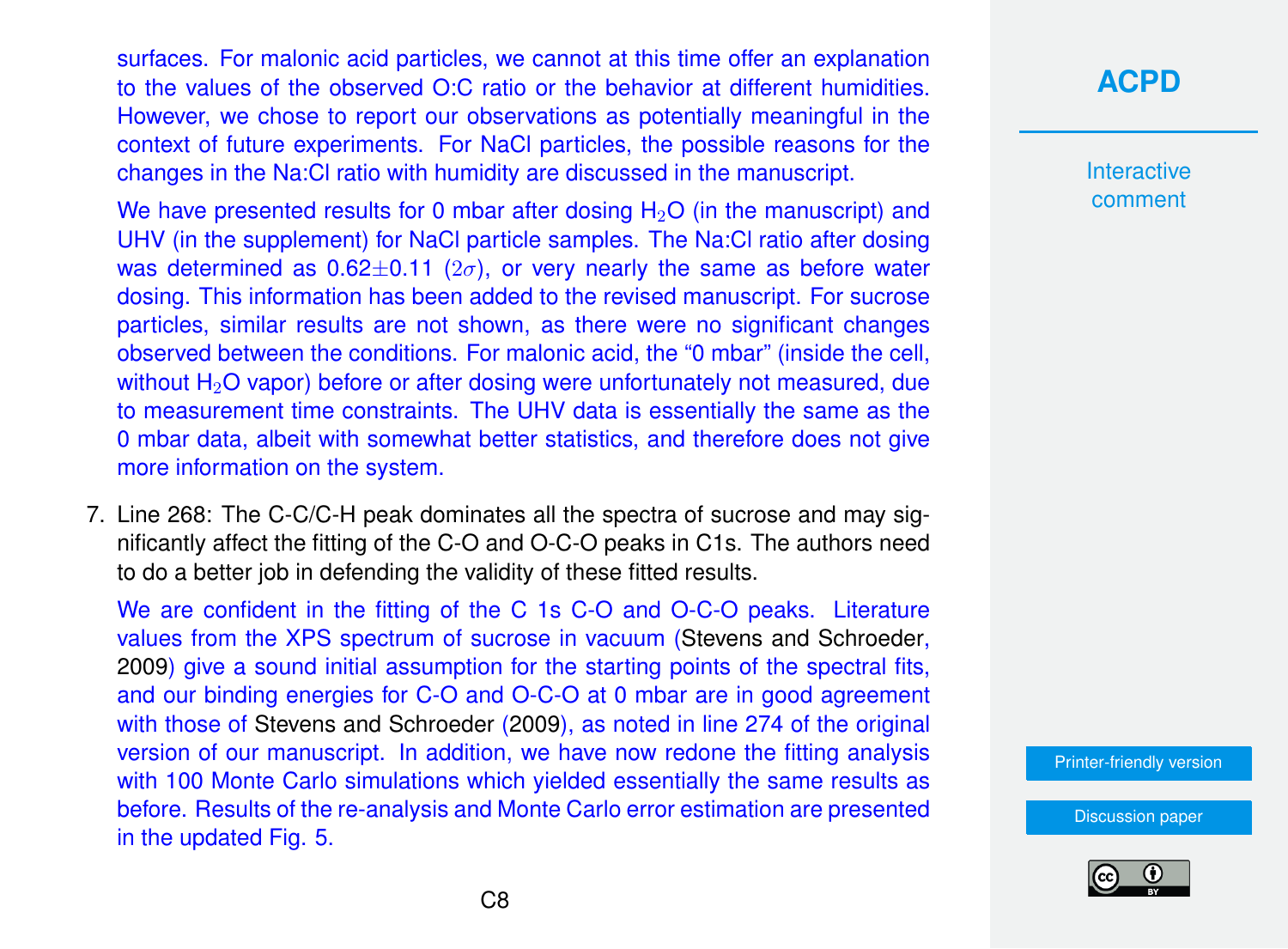surfaces. For malonic acid particles, we cannot at this time offer an explanation to the values of the observed O:C ratio or the behavior at different humidities. However, we chose to report our observations as potentially meaningful in the context of future experiments. For NaCl particles, the possible reasons for the changes in the Na:Cl ratio with humidity are discussed in the manuscript.

We have presented results for 0 mbar after dosing  $H_2O$  (in the manuscript) and UHV (in the supplement) for NaCl particle samples. The Na:Cl ratio after dosing was determined as  $0.62\pm0.11$  ( $2\sigma$ ), or very nearly the same as before water dosing. This information has been added to the revised manuscript. For sucrose particles, similar results are not shown, as there were no significant changes observed between the conditions. For malonic acid, the "0 mbar" (inside the cell, without H<sub>2</sub>O vapor) before or after dosing were unfortunately not measured, due to measurement time constraints. The UHV data is essentially the same as the 0 mbar data, albeit with somewhat better statistics, and therefore does not give more information on the system.

7. Line 268: The C-C/C-H peak dominates all the spectra of sucrose and may significantly affect the fitting of the C-O and O-C-O peaks in C1s. The authors need to do a better job in defending the validity of these fitted results.

We are confident in the fitting of the C 1s C-O and O-C-O peaks. Literature values from the XPS spectrum of sucrose in vacuum [\(Stevens and Schroeder,](#page-25-0) [2009\)](#page-25-0) give a sound initial assumption for the starting points of the spectral fits, and our binding energies for C-O and O-C-O at 0 mbar are in good agreement with those of [Stevens and Schroeder](#page-25-0) [\(2009\)](#page-25-0), as noted in line 274 of the original version of our manuscript. In addition, we have now redone the fitting analysis with 100 Monte Carlo simulations which yielded essentially the same results as before. Results of the re-analysis and Monte Carlo error estimation are presented in the updated Fig. 5.

**[ACPD](https://acp.copernicus.org/preprints/)**

Interactive comment

[Printer-friendly version](https://acp.copernicus.org/preprints/acp-2020-330/acp-2020-330-AC1-print.pdf)

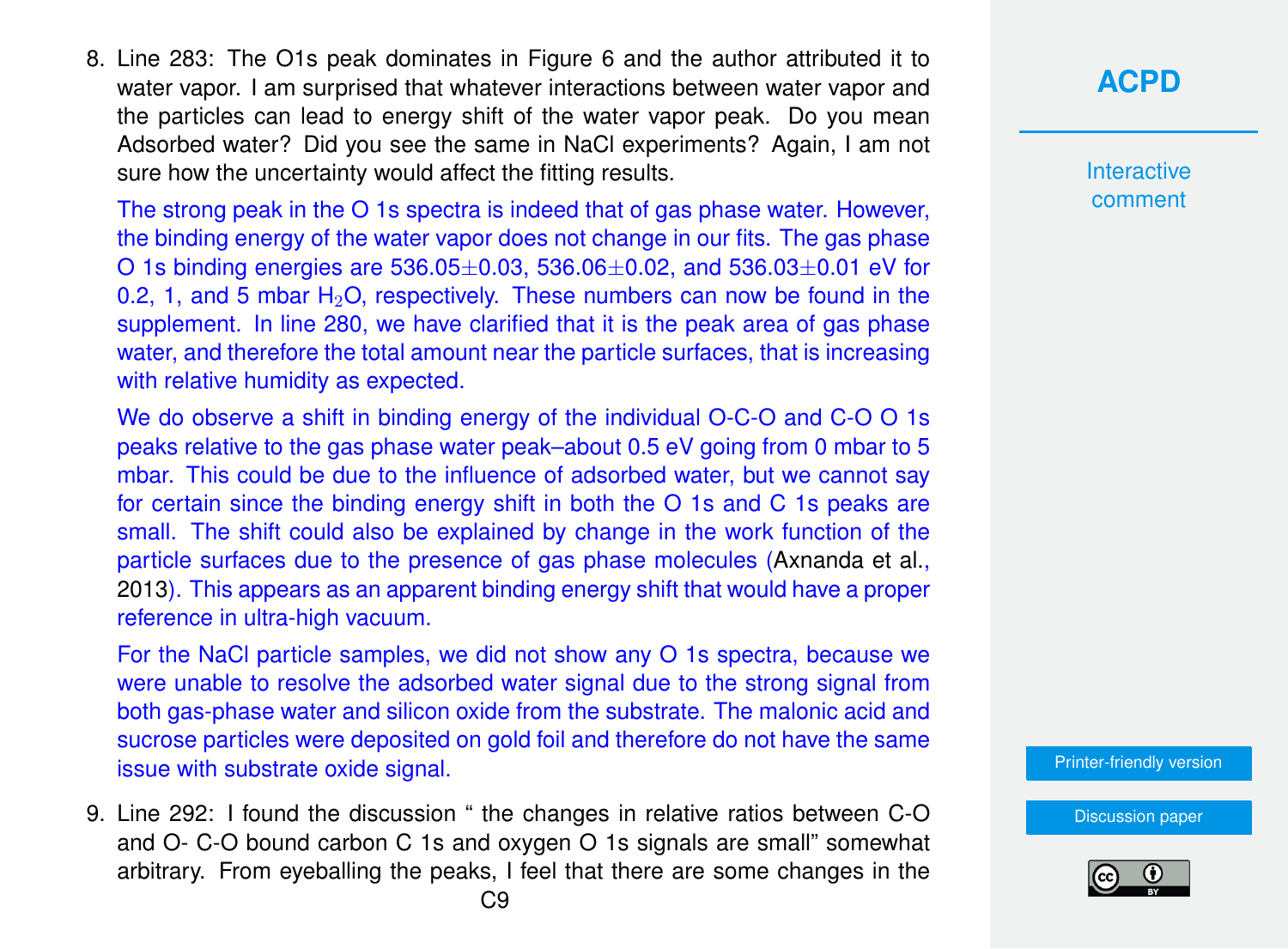8. Line 283: The O1s peak dominates in Figure 6 and the author attributed it to water vapor. I am surprised that whatever interactions between water vapor and the particles can lead to energy shift of the water vapor peak. Do you mean Adsorbed water? Did you see the same in NaCl experiments? Again, I am not sure how the uncertainty would affect the fitting results.

The strong peak in the O 1s spectra is indeed that of gas phase water. However, the binding energy of the water vapor does not change in our fits. The gas phase O 1s binding energies are  $536.05\pm0.03$ ,  $536.06\pm0.02$ , and  $536.03\pm0.01$  eV for 0.2, 1, and 5 mbar  $H_2O$ , respectively. These numbers can now be found in the supplement. In line 280, we have clarified that it is the peak area of gas phase water, and therefore the total amount near the particle surfaces, that is increasing with relative humidity as expected.

We do observe a shift in binding energy of the individual O-C-O and C-O O 1s peaks relative to the gas phase water peak–about 0.5 eV going from 0 mbar to 5 mbar. This could be due to the influence of adsorbed water, but we cannot say for certain since the binding energy shift in both the O 1s and C 1s peaks are small. The shift could also be explained by change in the work function of the particle surfaces due to the presence of gas phase molecules [\(Axnanda et al.,](#page-22-0) [2013\)](#page-22-0). This appears as an apparent binding energy shift that would have a proper reference in ultra-high vacuum.

For the NaCl particle samples, we did not show any O 1s spectra, because we were unable to resolve the adsorbed water signal due to the strong signal from both gas-phase water and silicon oxide from the substrate. The malonic acid and sucrose particles were deposited on gold foil and therefore do not have the same issue with substrate oxide signal.

9. Line 292: I found the discussion " the changes in relative ratios between C-O and O- C-O bound carbon C 1s and oxygen O 1s signals are small" somewhat arbitrary. From eyeballing the peaks, I feel that there are some changes in the **[ACPD](https://acp.copernicus.org/preprints/)**

Interactive comment

[Printer-friendly version](https://acp.copernicus.org/preprints/acp-2020-330/acp-2020-330-AC1-print.pdf)

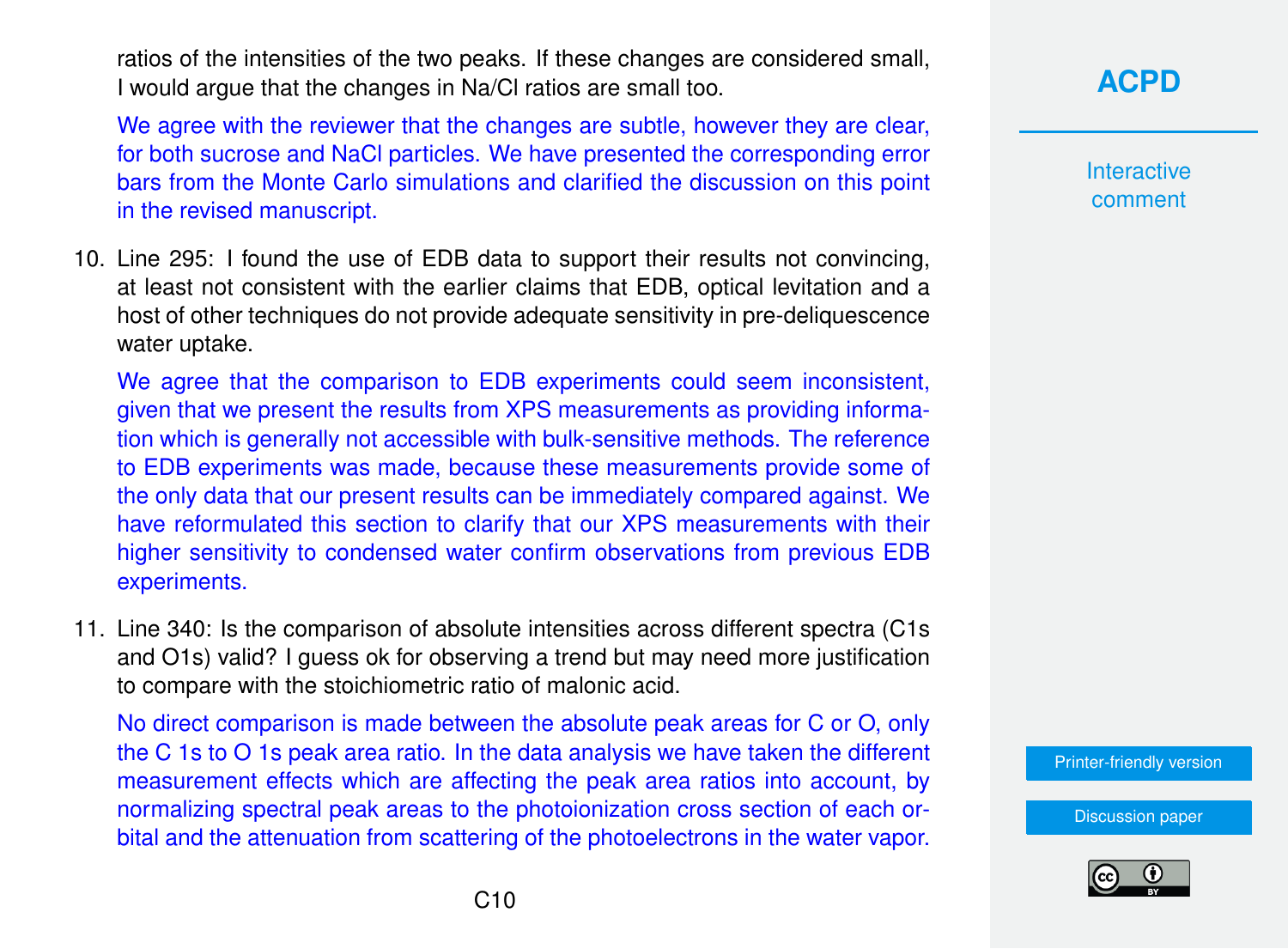ratios of the intensities of the two peaks. If these changes are considered small, I would argue that the changes in Na/Cl ratios are small too.

We agree with the reviewer that the changes are subtle, however they are clear, for both sucrose and NaCl particles. We have presented the corresponding error bars from the Monte Carlo simulations and clarified the discussion on this point in the revised manuscript.

10. Line 295: I found the use of EDB data to support their results not convincing, at least not consistent with the earlier claims that EDB, optical levitation and a host of other techniques do not provide adequate sensitivity in pre-deliquescence water uptake.

We agree that the comparison to EDB experiments could seem inconsistent, given that we present the results from XPS measurements as providing information which is generally not accessible with bulk-sensitive methods. The reference to EDB experiments was made, because these measurements provide some of the only data that our present results can be immediately compared against. We have reformulated this section to clarify that our XPS measurements with their higher sensitivity to condensed water confirm observations from previous EDB experiments.

11. Line 340: Is the comparison of absolute intensities across different spectra (C1s and O1s) valid? I guess ok for observing a trend but may need more justification to compare with the stoichiometric ratio of malonic acid.

No direct comparison is made between the absolute peak areas for C or O, only the C 1s to O 1s peak area ratio. In the data analysis we have taken the different measurement effects which are affecting the peak area ratios into account, by normalizing spectral peak areas to the photoionization cross section of each orbital and the attenuation from scattering of the photoelectrons in the water vapor. **Interactive** comment

[Printer-friendly version](https://acp.copernicus.org/preprints/acp-2020-330/acp-2020-330-AC1-print.pdf)

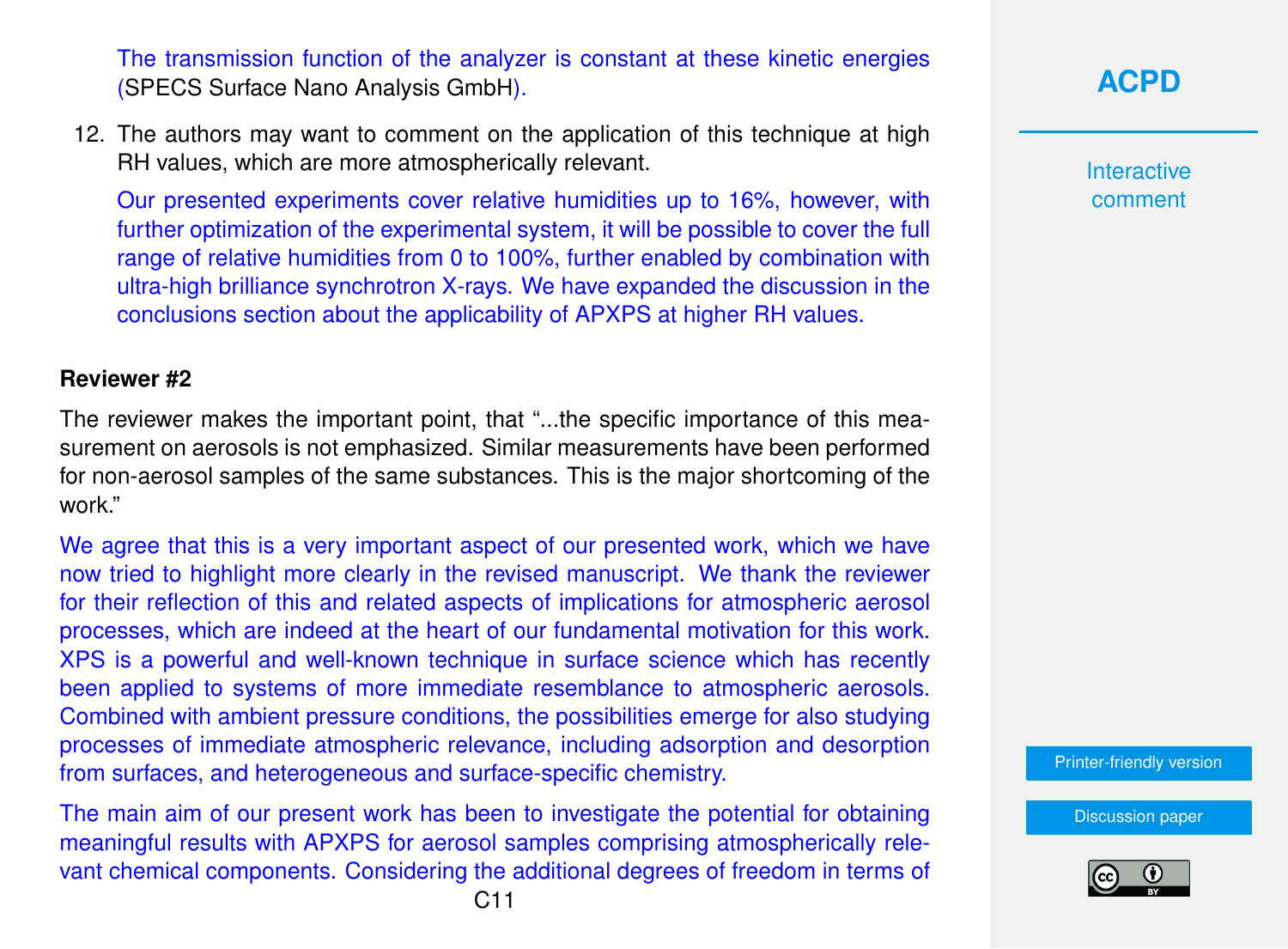The transmission function of the analyzer is constant at these kinetic energies [\(SPECS Surface Nano Analysis GmbH\)](#page-25-0).

12. The authors may want to comment on the application of this technique at high RH values, which are more atmospherically relevant.

Our presented experiments cover relative humidities up to 16%, however, with further optimization of the experimental system, it will be possible to cover the full range of relative humidities from 0 to 100%, further enabled by combination with ultra-high brilliance synchrotron X-rays. We have expanded the discussion in the conclusions section about the applicability of APXPS at higher RH values.

#### **Reviewer #2**

The reviewer makes the important point, that "...the specific importance of this measurement on aerosols is not emphasized. Similar measurements have been performed for non-aerosol samples of the same substances. This is the major shortcoming of the work."

We agree that this is a very important aspect of our presented work, which we have now tried to highlight more clearly in the revised manuscript. We thank the reviewer for their reflection of this and related aspects of implications for atmospheric aerosol processes, which are indeed at the heart of our fundamental motivation for this work. XPS is a powerful and well-known technique in surface science which has recently been applied to systems of more immediate resemblance to atmospheric aerosols. Combined with ambient pressure conditions, the possibilities emerge for also studying processes of immediate atmospheric relevance, including adsorption and desorption from surfaces, and heterogeneous and surface-specific chemistry.

The main aim of our present work has been to investigate the potential for obtaining meaningful results with APXPS for aerosol samples comprising atmospherically relevant chemical components. Considering the additional degrees of freedom in terms of **Interactive** comment

[Printer-friendly version](https://acp.copernicus.org/preprints/acp-2020-330/acp-2020-330-AC1-print.pdf)

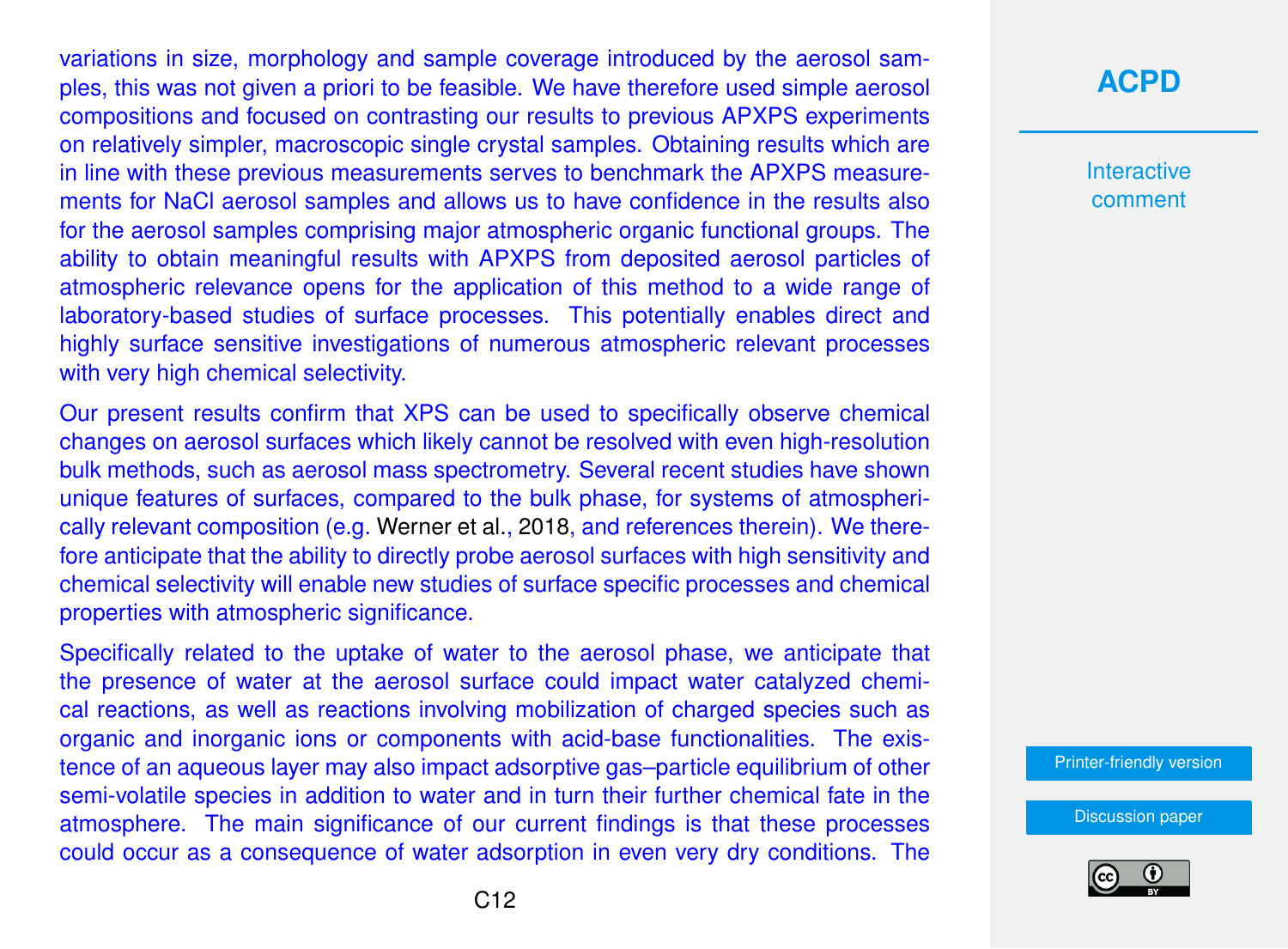variations in size, morphology and sample coverage introduced by the aerosol samples, this was not given a priori to be feasible. We have therefore used simple aerosol compositions and focused on contrasting our results to previous APXPS experiments on relatively simpler, macroscopic single crystal samples. Obtaining results which are in line with these previous measurements serves to benchmark the APXPS measurements for NaCl aerosol samples and allows us to have confidence in the results also for the aerosol samples comprising major atmospheric organic functional groups. The ability to obtain meaningful results with APXPS from deposited aerosol particles of atmospheric relevance opens for the application of this method to a wide range of laboratory-based studies of surface processes. This potentially enables direct and highly surface sensitive investigations of numerous atmospheric relevant processes with very high chemical selectivity.

Our present results confirm that XPS can be used to specifically observe chemical changes on aerosol surfaces which likely cannot be resolved with even high-resolution bulk methods, such as aerosol mass spectrometry. Several recent studies have shown unique features of surfaces, compared to the bulk phase, for systems of atmospherically relevant composition (e.g. [Werner et al.,](#page-25-0) [2018,](#page-25-0) and references therein). We therefore anticipate that the ability to directly probe aerosol surfaces with high sensitivity and chemical selectivity will enable new studies of surface specific processes and chemical properties with atmospheric significance.

Specifically related to the uptake of water to the aerosol phase, we anticipate that the presence of water at the aerosol surface could impact water catalyzed chemical reactions, as well as reactions involving mobilization of charged species such as organic and inorganic ions or components with acid-base functionalities. The existence of an aqueous layer may also impact adsorptive gas–particle equilibrium of other semi-volatile species in addition to water and in turn their further chemical fate in the atmosphere. The main significance of our current findings is that these processes could occur as a consequence of water adsorption in even very dry conditions. The

# **[ACPD](https://acp.copernicus.org/preprints/)**

**Interactive** comment

[Printer-friendly version](https://acp.copernicus.org/preprints/acp-2020-330/acp-2020-330-AC1-print.pdf)

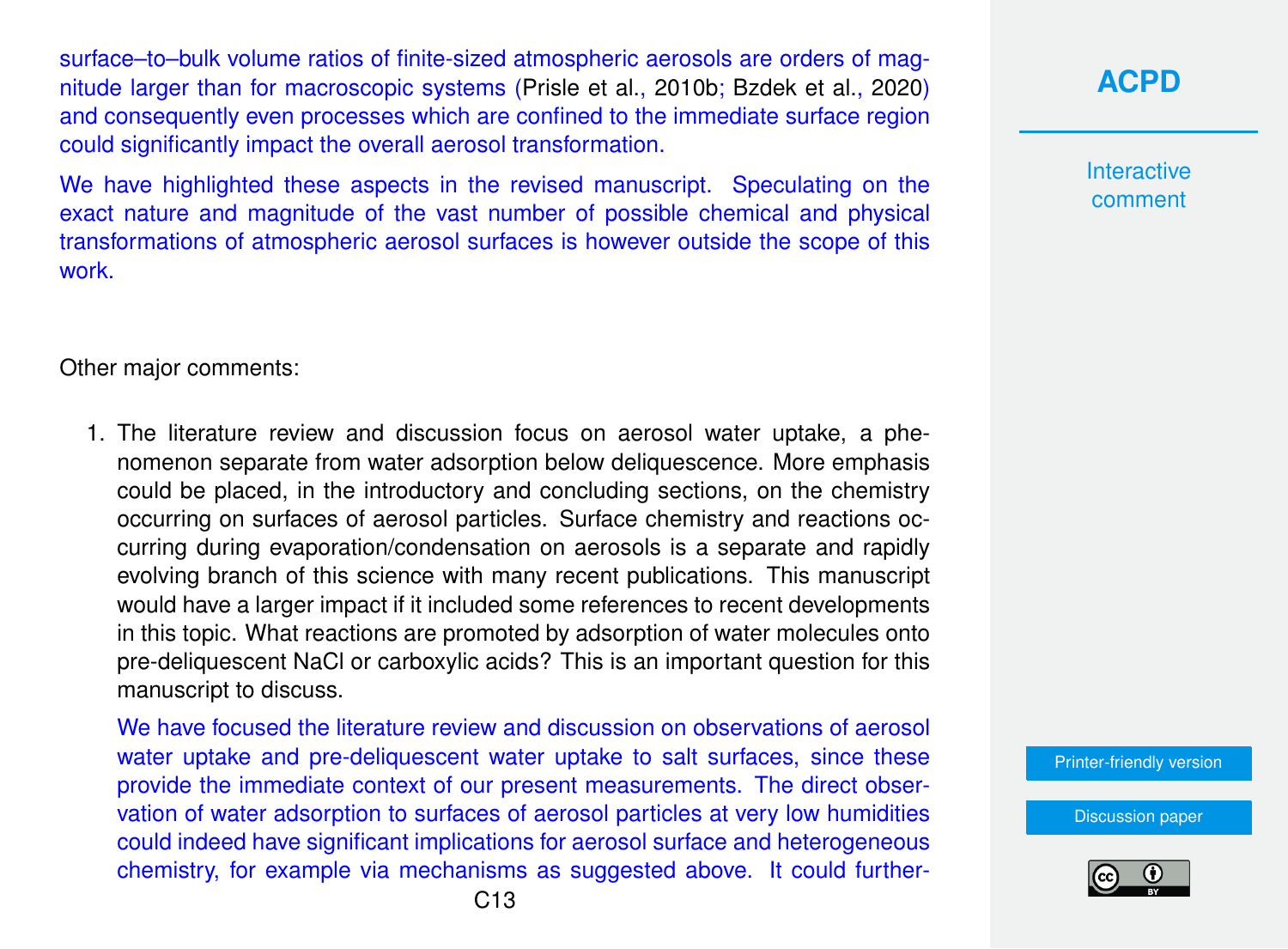surface–to–bulk volume ratios of finite-sized atmospheric aerosols are orders of magnitude larger than for macroscopic systems [\(Prisle et al.,](#page-24-0) [2010b;](#page-24-0) [Bzdek et al.,](#page-22-0) [2020\)](#page-22-0) and consequently even processes which are confined to the immediate surface region could significantly impact the overall aerosol transformation.

We have highlighted these aspects in the revised manuscript. Speculating on the exact nature and magnitude of the vast number of possible chemical and physical transformations of atmospheric aerosol surfaces is however outside the scope of this work.

Other major comments:

1. The literature review and discussion focus on aerosol water uptake, a phenomenon separate from water adsorption below deliquescence. More emphasis could be placed, in the introductory and concluding sections, on the chemistry occurring on surfaces of aerosol particles. Surface chemistry and reactions occurring during evaporation/condensation on aerosols is a separate and rapidly evolving branch of this science with many recent publications. This manuscript would have a larger impact if it included some references to recent developments in this topic. What reactions are promoted by adsorption of water molecules onto pre-deliquescent NaCl or carboxylic acids? This is an important question for this manuscript to discuss.

We have focused the literature review and discussion on observations of aerosol water uptake and pre-deliquescent water uptake to salt surfaces, since these provide the immediate context of our present measurements. The direct observation of water adsorption to surfaces of aerosol particles at very low humidities could indeed have significant implications for aerosol surface and heterogeneous chemistry, for example via mechanisms as suggested above. It could further**[ACPD](https://acp.copernicus.org/preprints/)**

**Interactive** comment

[Printer-friendly version](https://acp.copernicus.org/preprints/acp-2020-330/acp-2020-330-AC1-print.pdf)

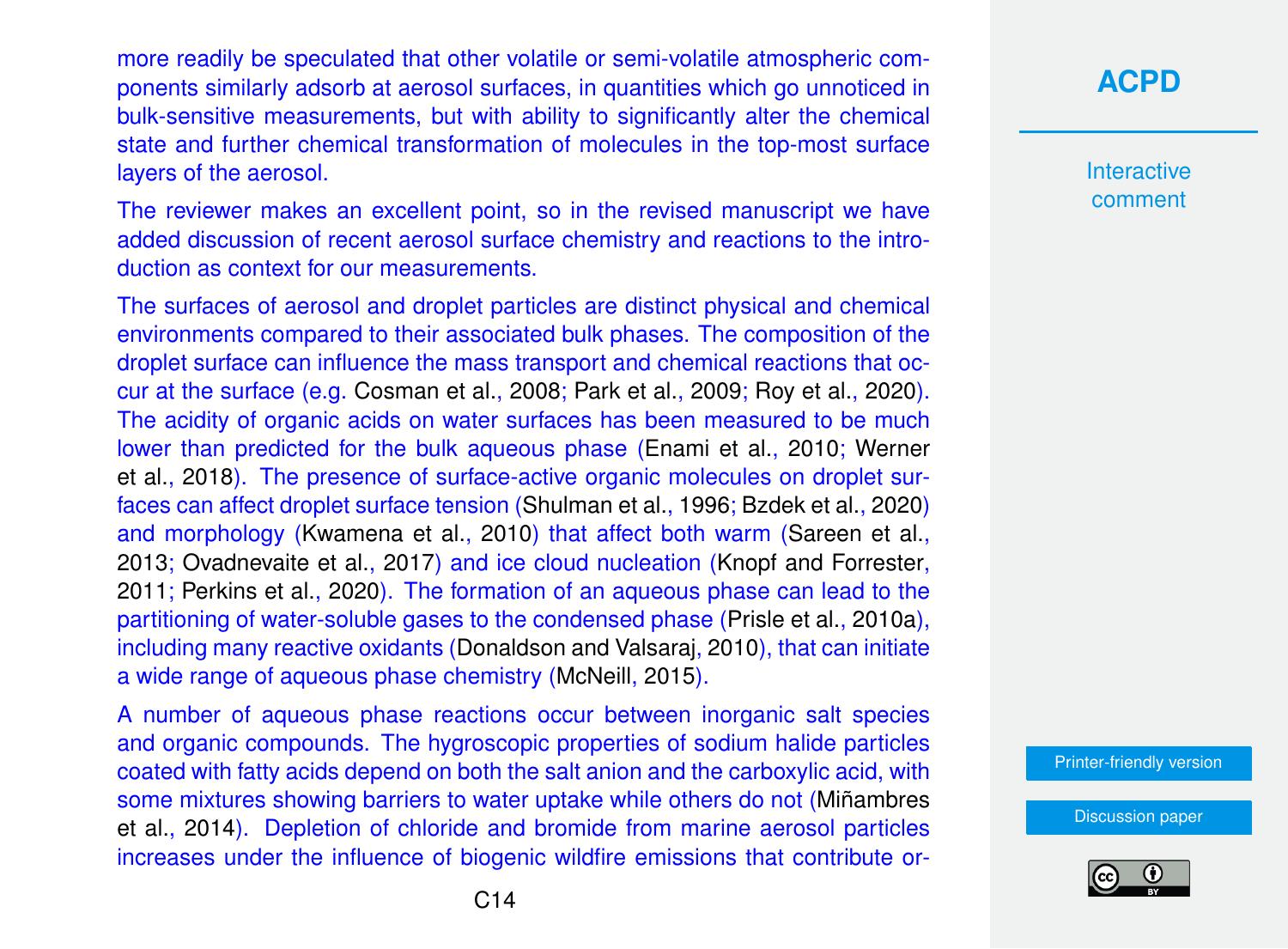more readily be speculated that other volatile or semi-volatile atmospheric components similarly adsorb at aerosol surfaces, in quantities which go unnoticed in bulk-sensitive measurements, but with ability to significantly alter the chemical state and further chemical transformation of molecules in the top-most surface layers of the aerosol.

The reviewer makes an excellent point, so in the revised manuscript we have added discussion of recent aerosol surface chemistry and reactions to the introduction as context for our measurements.

The surfaces of aerosol and droplet particles are distinct physical and chemical environments compared to their associated bulk phases. The composition of the droplet surface can influence the mass transport and chemical reactions that occur at the surface (e.g. [Cosman et al.,](#page-22-0) [2008;](#page-22-0) [Park et al.,](#page-24-0) [2009;](#page-24-0) [Roy et al.,](#page-24-0) [2020\)](#page-24-0). The acidity of organic acids on water surfaces has been measured to be much lower than predicted for the bulk aqueous phase [\(Enami et al.,](#page-22-0) [2010;](#page-22-0) [Werner](#page-25-0) [et al.,](#page-25-0) [2018\)](#page-25-0). The presence of surface-active organic molecules on droplet surfaces can affect droplet surface tension [\(Shulman et al.,](#page-24-0) [1996;](#page-24-0) [Bzdek et al.,](#page-22-0) [2020\)](#page-22-0) and morphology [\(Kwamena et al.,](#page-23-0) [2010\)](#page-23-0) that affect both warm [\(Sareen et al.,](#page-24-0) [2013;](#page-24-0) [Ovadnevaite et al.,](#page-24-0) [2017\)](#page-24-0) and ice cloud nucleation [\(Knopf and Forrester,](#page-23-0) [2011;](#page-23-0) [Perkins et al.,](#page-24-0) [2020\)](#page-24-0). The formation of an aqueous phase can lead to the partitioning of water-soluble gases to the condensed phase [\(Prisle et al.,](#page-24-0) [2010a\)](#page-24-0), including many reactive oxidants [\(Donaldson and Valsaraj,](#page-22-0) [2010\)](#page-22-0), that can initiate a wide range of aqueous phase chemistry [\(McNeill,](#page-23-0) [2015\)](#page-23-0).

A number of aqueous phase reactions occur between inorganic salt species and organic compounds. The hygroscopic properties of sodium halide particles coated with fatty acids depend on both the salt anion and the carboxylic acid, with some mixtures showing barriers to water uptake while others do not [\(Miñambres](#page-23-0) [et al.,](#page-23-0) [2014\)](#page-23-0). Depletion of chloride and bromide from marine aerosol particles increases under the influence of biogenic wildfire emissions that contribute or-

# **[ACPD](https://acp.copernicus.org/preprints/)**

Interactive comment

[Printer-friendly version](https://acp.copernicus.org/preprints/acp-2020-330/acp-2020-330-AC1-print.pdf)

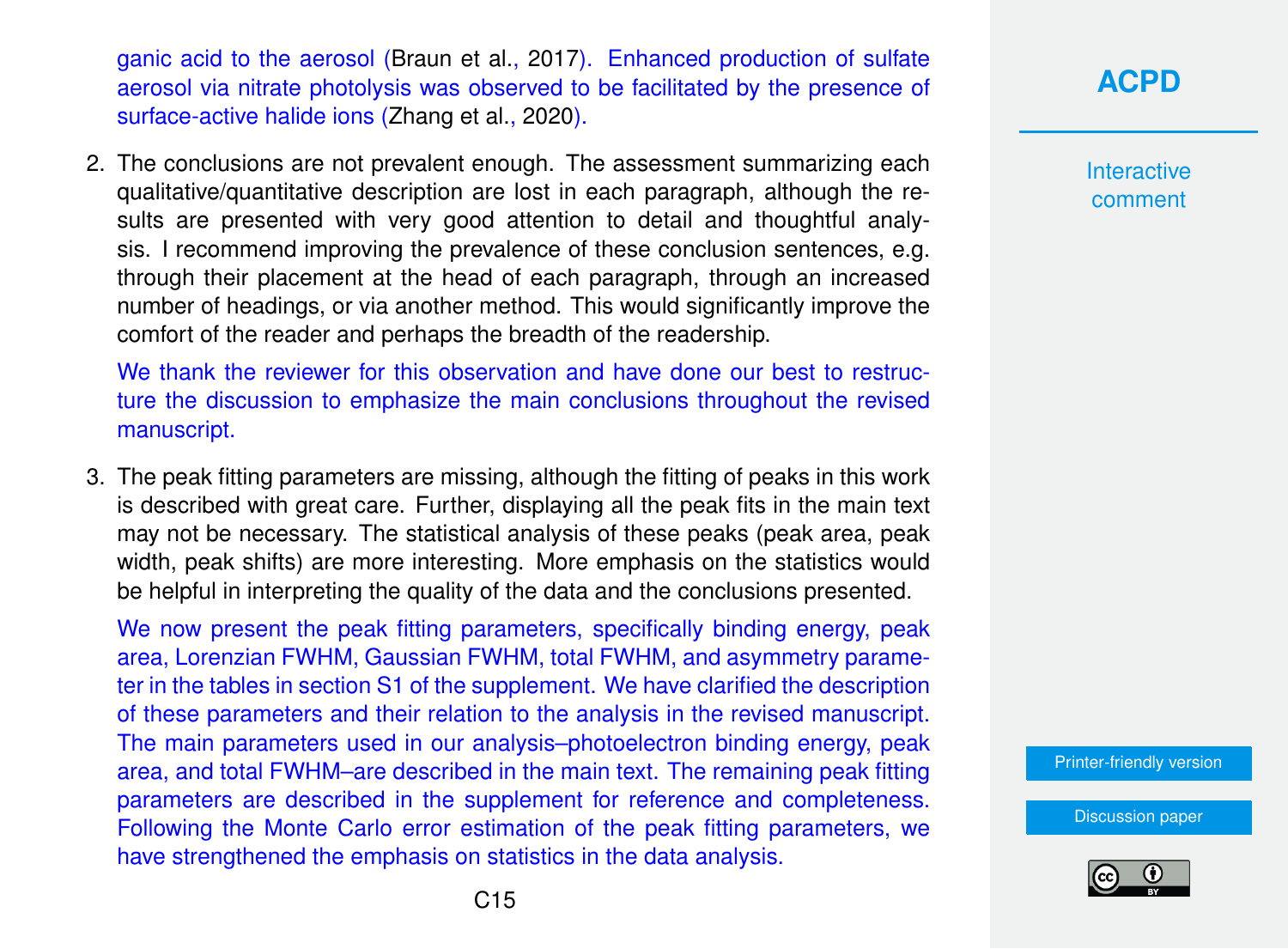ganic acid to the aerosol [\(Braun et al.,](#page-22-0) [2017\)](#page-22-0). Enhanced production of sulfate aerosol via nitrate photolysis was observed to be facilitated by the presence of surface-active halide ions [\(Zhang et al.,](#page-25-0) [2020\)](#page-25-0).

2. The conclusions are not prevalent enough. The assessment summarizing each qualitative/quantitative description are lost in each paragraph, although the results are presented with very good attention to detail and thoughtful analysis. I recommend improving the prevalence of these conclusion sentences, e.g. through their placement at the head of each paragraph, through an increased number of headings, or via another method. This would significantly improve the comfort of the reader and perhaps the breadth of the readership.

We thank the reviewer for this observation and have done our best to restructure the discussion to emphasize the main conclusions throughout the revised manuscript.

3. The peak fitting parameters are missing, although the fitting of peaks in this work is described with great care. Further, displaying all the peak fits in the main text may not be necessary. The statistical analysis of these peaks (peak area, peak width, peak shifts) are more interesting. More emphasis on the statistics would be helpful in interpreting the quality of the data and the conclusions presented.

We now present the peak fitting parameters, specifically binding energy, peak area, Lorenzian FWHM, Gaussian FWHM, total FWHM, and asymmetry parameter in the tables in section S1 of the supplement. We have clarified the description of these parameters and their relation to the analysis in the revised manuscript. The main parameters used in our analysis–photoelectron binding energy, peak area, and total FWHM–are described in the main text. The remaining peak fitting parameters are described in the supplement for reference and completeness. Following the Monte Carlo error estimation of the peak fitting parameters, we have strengthened the emphasis on statistics in the data analysis.

**[ACPD](https://acp.copernicus.org/preprints/)**

**Interactive** comment

[Printer-friendly version](https://acp.copernicus.org/preprints/acp-2020-330/acp-2020-330-AC1-print.pdf)

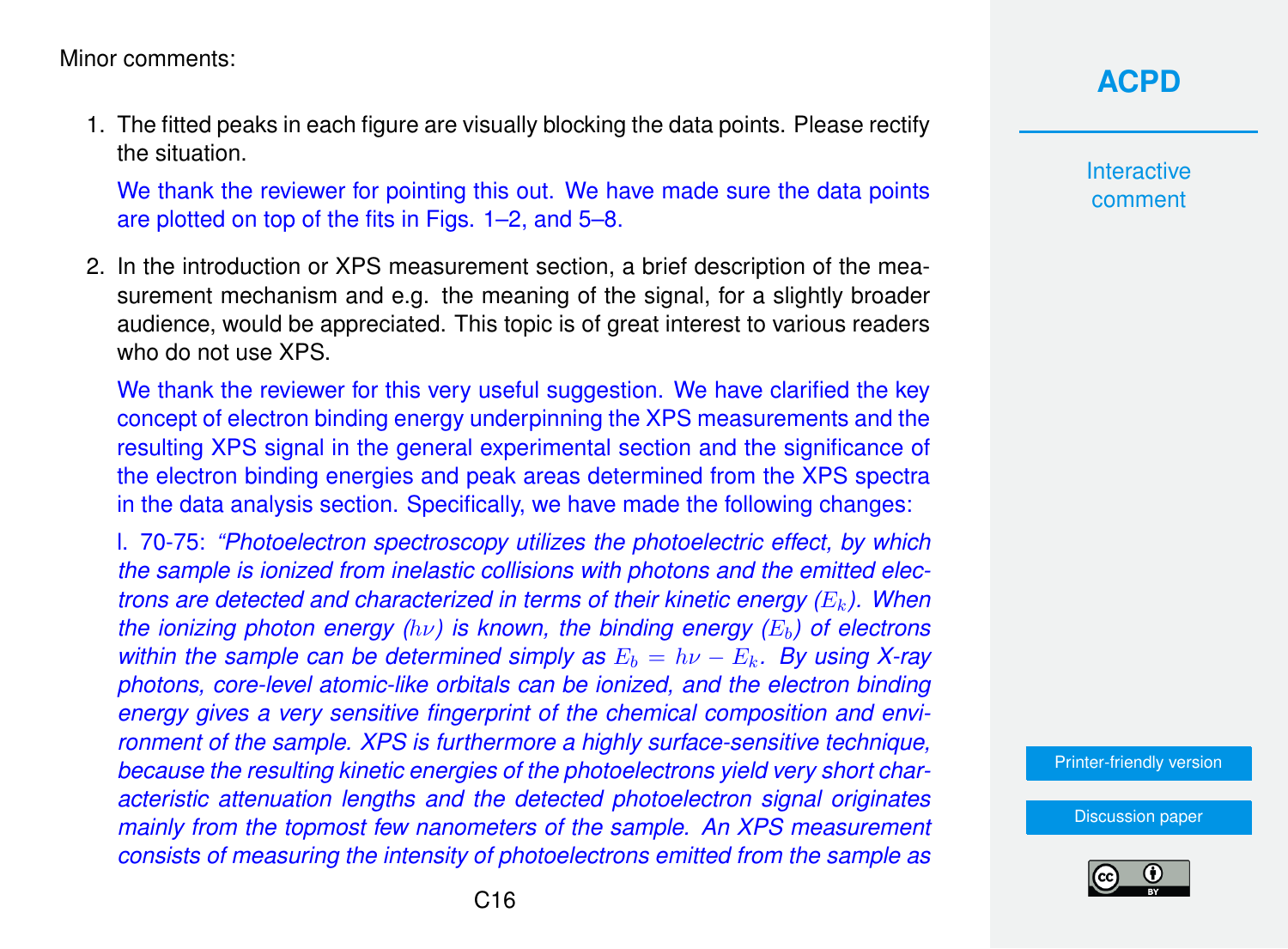Minor comments:

1. The fitted peaks in each figure are visually blocking the data points. Please rectify the situation.

We thank the reviewer for pointing this out. We have made sure the data points are plotted on top of the fits in Figs. 1–2, and 5–8.

2. In the introduction or XPS measurement section, a brief description of the measurement mechanism and e.g. the meaning of the signal, for a slightly broader audience, would be appreciated. This topic is of great interest to various readers who do not use **XPS**.

We thank the reviewer for this very useful suggestion. We have clarified the key concept of electron binding energy underpinning the XPS measurements and the resulting XPS signal in the general experimental section and the significance of the electron binding energies and peak areas determined from the XPS spectra in the data analysis section. Specifically, we have made the following changes:

l. 70-75: *"Photoelectron spectroscopy utilizes the photoelectric effect, by which the sample is ionized from inelastic collisions with photons and the emitted electrons are detected and characterized in terms of their kinetic energy (E<sub>k</sub>). When the ionizing photon energy (hν) is known, the binding energy (E<sub>b</sub>) of electrons within the sample can be determined simply as*  $E_b = h\nu - E_k$ . By using X-ray *photons, core-level atomic-like orbitals can be ionized, and the electron binding energy gives a very sensitive fingerprint of the chemical composition and environment of the sample. XPS is furthermore a highly surface-sensitive technique, because the resulting kinetic energies of the photoelectrons yield very short characteristic attenuation lengths and the detected photoelectron signal originates mainly from the topmost few nanometers of the sample. An XPS measurement consists of measuring the intensity of photoelectrons emitted from the sample as*

# **[ACPD](https://acp.copernicus.org/preprints/)**

**Interactive** comment

[Printer-friendly version](https://acp.copernicus.org/preprints/acp-2020-330/acp-2020-330-AC1-print.pdf)

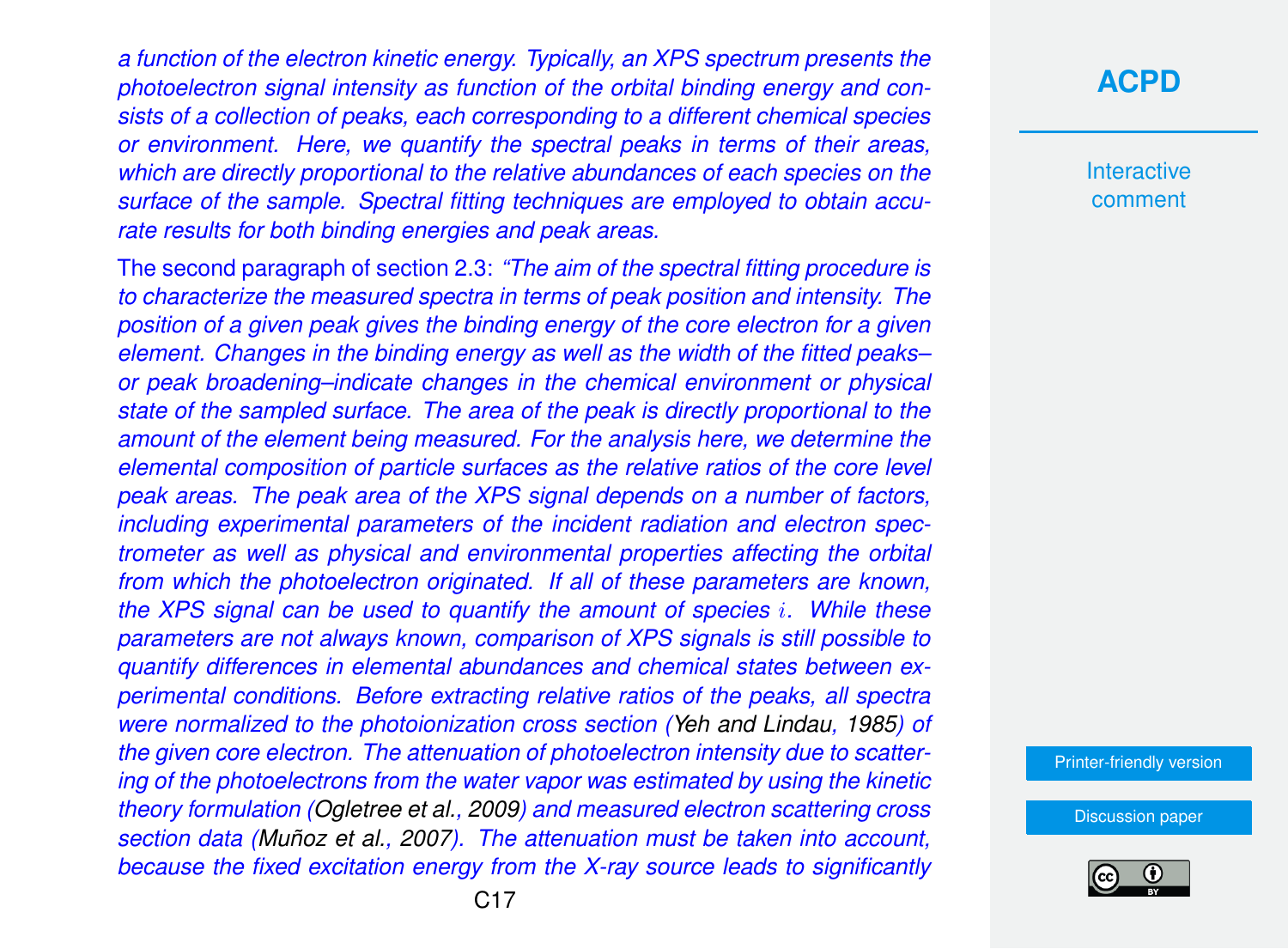*a function of the electron kinetic energy. Typically, an XPS spectrum presents the photoelectron signal intensity as function of the orbital binding energy and consists of a collection of peaks, each corresponding to a different chemical species or environment. Here, we quantify the spectral peaks in terms of their areas, which are directly proportional to the relative abundances of each species on the surface of the sample. Spectral fitting techniques are employed to obtain accurate results for both binding energies and peak areas.*

The second paragraph of section 2.3: *"The aim of the spectral fitting procedure is to characterize the measured spectra in terms of peak position and intensity. The position of a given peak gives the binding energy of the core electron for a given element. Changes in the binding energy as well as the width of the fitted peaks– or peak broadening–indicate changes in the chemical environment or physical state of the sampled surface. The area of the peak is directly proportional to the amount of the element being measured. For the analysis here, we determine the elemental composition of particle surfaces as the relative ratios of the core level peak areas. The peak area of the XPS signal depends on a number of factors, including experimental parameters of the incident radiation and electron spectrometer as well as physical and environmental properties affecting the orbital from which the photoelectron originated. If all of these parameters are known, the XPS signal can be used to quantify the amount of species* i*. While these parameters are not always known, comparison of XPS signals is still possible to quantify differences in elemental abundances and chemical states between experimental conditions. Before extracting relative ratios of the peaks, all spectra were normalized to the photoionization cross section [\(Yeh and Lindau,](#page-25-0) [1985\)](#page-25-0) of the given core electron. The attenuation of photoelectron intensity due to scattering of the photoelectrons from the water vapor was estimated by using the kinetic theory formulation [\(Ogletree et al.,](#page-24-0) [2009\)](#page-24-0) and measured electron scattering cross section data [\(Muñoz et al.,](#page-23-0) [2007\)](#page-23-0). The attenuation must be taken into account, because the fixed excitation energy from the X-ray source leads to significantly*

### **[ACPD](https://acp.copernicus.org/preprints/)**

**Interactive** comment

[Printer-friendly version](https://acp.copernicus.org/preprints/acp-2020-330/acp-2020-330-AC1-print.pdf)

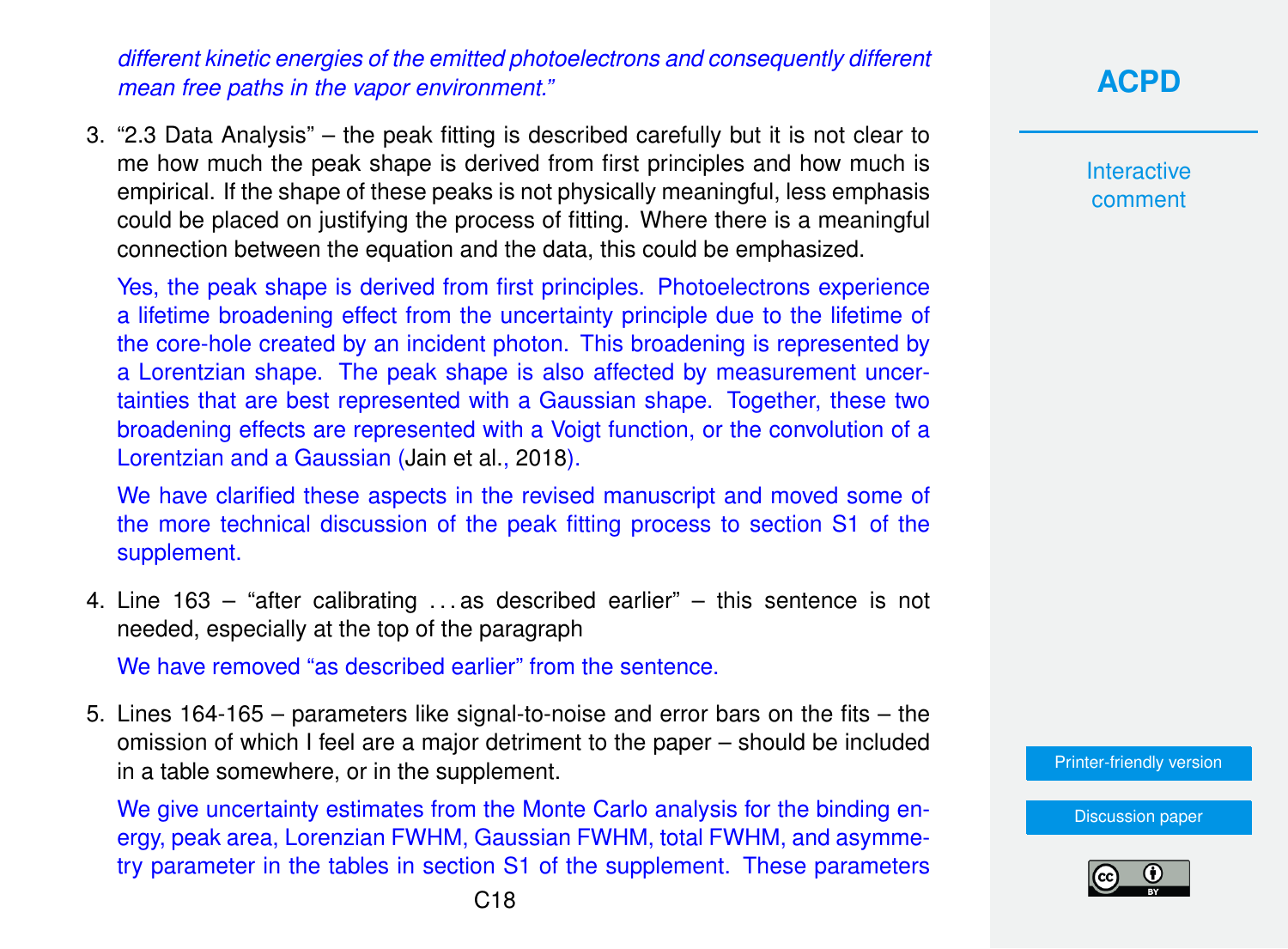*different kinetic energies of the emitted photoelectrons and consequently different mean free paths in the vapor environment."*

3. "2.3 Data Analysis" – the peak fitting is described carefully but it is not clear to me how much the peak shape is derived from first principles and how much is empirical. If the shape of these peaks is not physically meaningful, less emphasis could be placed on justifying the process of fitting. Where there is a meaningful connection between the equation and the data, this could be emphasized.

Yes, the peak shape is derived from first principles. Photoelectrons experience a lifetime broadening effect from the uncertainty principle due to the lifetime of the core-hole created by an incident photon. This broadening is represented by a Lorentzian shape. The peak shape is also affected by measurement uncertainties that are best represented with a Gaussian shape. Together, these two broadening effects are represented with a Voigt function, or the convolution of a Lorentzian and a Gaussian [\(Jain et al.,](#page-23-0) [2018\)](#page-23-0).

We have clarified these aspects in the revised manuscript and moved some of the more technical discussion of the peak fitting process to section S1 of the supplement.

4. Line 163 – "after calibrating . . . as described earlier" – this sentence is not needed, especially at the top of the paragraph

We have removed "as described earlier" from the sentence.

5. Lines 164-165 – parameters like signal-to-noise and error bars on the fits – the omission of which I feel are a major detriment to the paper – should be included in a table somewhere, or in the supplement.

We give uncertainty estimates from the Monte Carlo analysis for the binding energy, peak area, Lorenzian FWHM, Gaussian FWHM, total FWHM, and asymmetry parameter in the tables in section S1 of the supplement. These parameters

# **[ACPD](https://acp.copernicus.org/preprints/)**

**Interactive** comment

[Printer-friendly version](https://acp.copernicus.org/preprints/acp-2020-330/acp-2020-330-AC1-print.pdf)

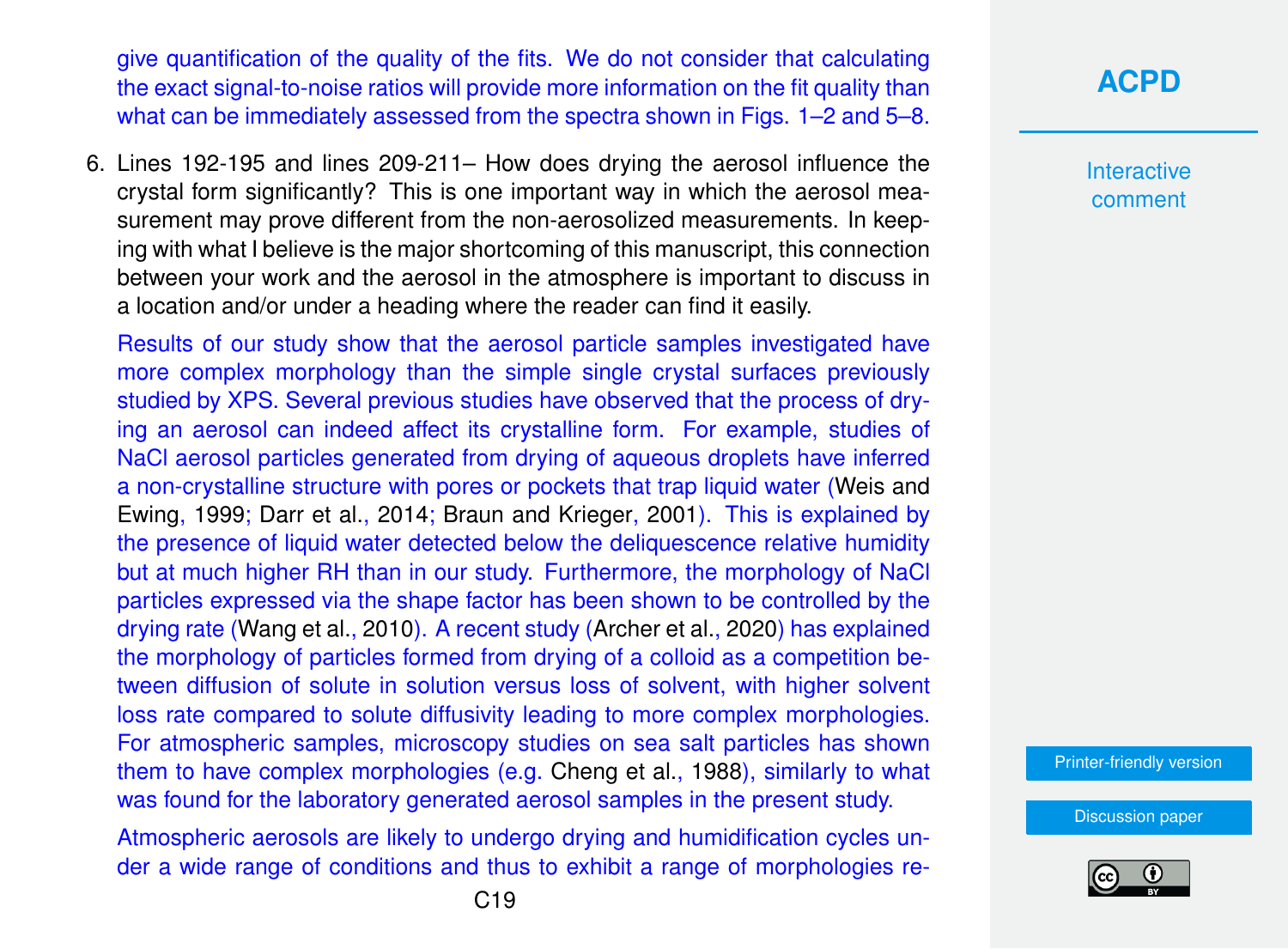give quantification of the quality of the fits. We do not consider that calculating the exact signal-to-noise ratios will provide more information on the fit quality than what can be immediately assessed from the spectra shown in Figs. 1–2 and 5–8.

6. Lines 192-195 and lines 209-211– How does drying the aerosol influence the crystal form significantly? This is one important way in which the aerosol measurement may prove different from the non-aerosolized measurements. In keeping with what I believe is the major shortcoming of this manuscript, this connection between your work and the aerosol in the atmosphere is important to discuss in a location and/or under a heading where the reader can find it easily.

Results of our study show that the aerosol particle samples investigated have more complex morphology than the simple single crystal surfaces previously studied by XPS. Several previous studies have observed that the process of drying an aerosol can indeed affect its crystalline form. For example, studies of NaCl aerosol particles generated from drying of aqueous droplets have inferred a non-crystalline structure with pores or pockets that trap liquid water [\(Weis and](#page-25-0) [Ewing,](#page-25-0) [1999;](#page-25-0) [Darr et al.,](#page-22-0) [2014;](#page-22-0) [Braun and Krieger,](#page-22-0) [2001\)](#page-22-0). This is explained by the presence of liquid water detected below the deliquescence relative humidity but at much higher RH than in our study. Furthermore, the morphology of NaCl particles expressed via the shape factor has been shown to be controlled by the drying rate [\(Wang et al.,](#page-25-0) [2010\)](#page-25-0). A recent study [\(Archer et al.,](#page-21-0) [2020\)](#page-21-0) has explained the morphology of particles formed from drying of a colloid as a competition between diffusion of solute in solution versus loss of solvent, with higher solvent loss rate compared to solute diffusivity leading to more complex morphologies. For atmospheric samples, microscopy studies on sea salt particles has shown them to have complex morphologies (e.g. [Cheng et al.,](#page-22-0) [1988\)](#page-22-0), similarly to what was found for the laboratory generated aerosol samples in the present study.

Atmospheric aerosols are likely to undergo drying and humidification cycles under a wide range of conditions and thus to exhibit a range of morphologies re-

# **[ACPD](https://acp.copernicus.org/preprints/)**

Interactive comment

[Printer-friendly version](https://acp.copernicus.org/preprints/acp-2020-330/acp-2020-330-AC1-print.pdf)

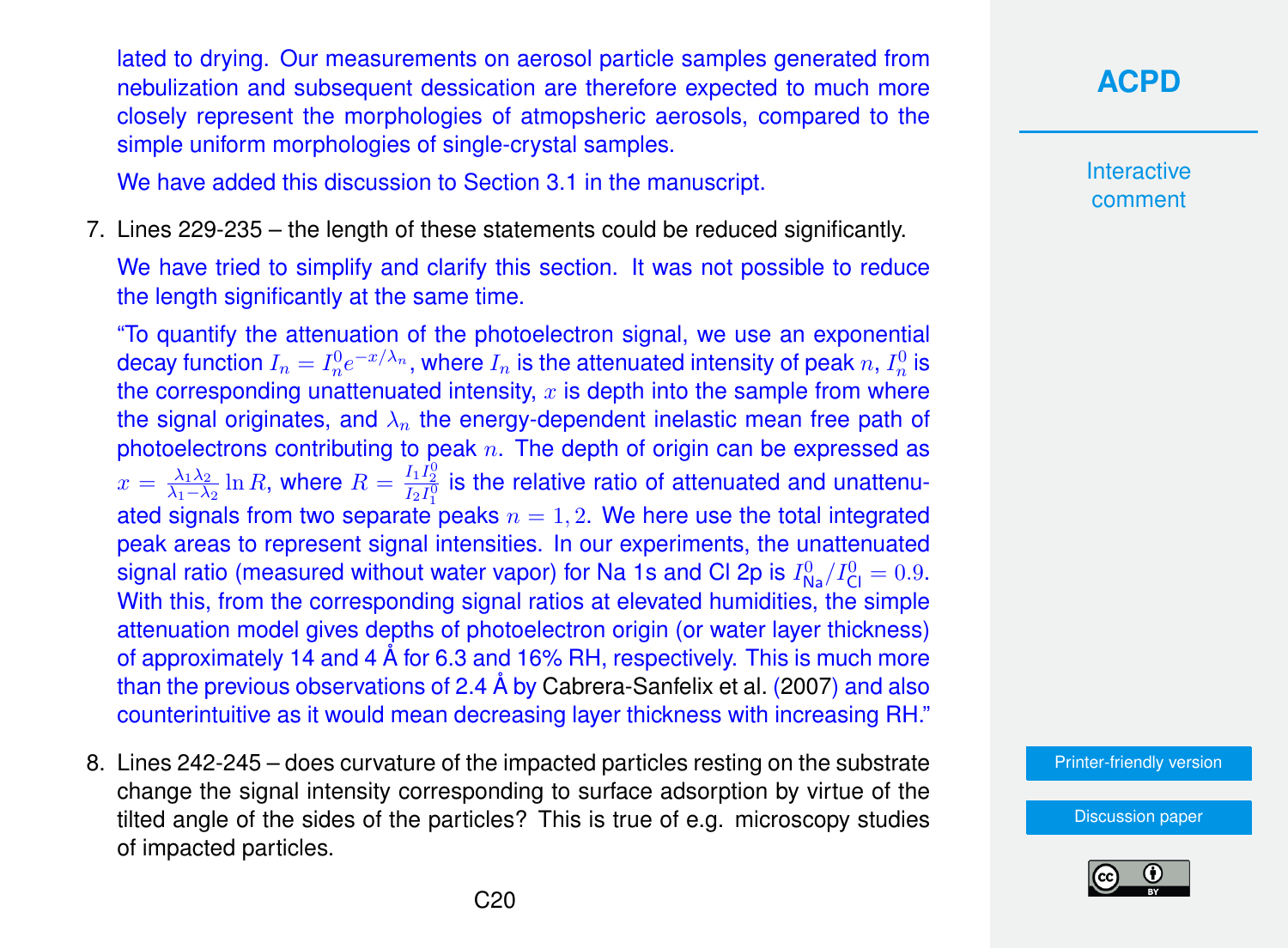lated to drying. Our measurements on aerosol particle samples generated from nebulization and subsequent dessication are therefore expected to much more closely represent the morphologies of atmopsheric aerosols, compared to the simple uniform morphologies of single-crystal samples.

We have added this discussion to Section 3.1 in the manuscript.

7. Lines 229-235 – the length of these statements could be reduced significantly.

We have tried to simplify and clarify this section. It was not possible to reduce the length significantly at the same time.

"To quantify the attenuation of the photoelectron signal, we use an exponential decay function  $I_n=I^0_ne^{-x/\lambda_n},$  where  $I_n$  is the attenuated intensity of peak  $n,I^0_n$  is the corresponding unattenuated intensity,  $x$  is depth into the sample from where the signal originates, and  $\lambda_n$  the energy-dependent inelastic mean free path of photoelectrons contributing to peak  $n$ . The depth of origin can be expressed as  $x = \frac{\lambda_1 \lambda_2}{\lambda_1 - \lambda_2}$  $\frac{\lambda_1\lambda_2}{\lambda_1-\lambda_2}\ln R$ , where  $R=\frac{I_1I_2^0}{I_2I_1^0}$  is the relative ratio of attenuated and unattenuated signals from two separate peaks  $n = 1, 2$ . We here use the total integrated peak areas to represent signal intensities. In our experiments, the unattenuated signal ratio (measured without water vapor) for Na 1s and Cl 2p is  $I^0_{\mathsf{Na}}/I^0_{\mathsf{Cl}}=0.9.$ With this, from the corresponding signal ratios at elevated humidities, the simple attenuation model gives depths of photoelectron origin (or water layer thickness) of approximately 14 and 4 Å for 6.3 and 16% RH, respectively. This is much more than the previous observations of 2.4 Å by [Cabrera-Sanfelix et al.](#page-22-0) [\(2007\)](#page-22-0) and also counterintuitive as it would mean decreasing layer thickness with increasing RH."

8. Lines 242-245 – does curvature of the impacted particles resting on the substrate change the signal intensity corresponding to surface adsorption by virtue of the tilted angle of the sides of the particles? This is true of e.g. microscopy studies of impacted particles.

# **[ACPD](https://acp.copernicus.org/preprints/)**

Interactive comment

[Printer-friendly version](https://acp.copernicus.org/preprints/acp-2020-330/acp-2020-330-AC1-print.pdf)

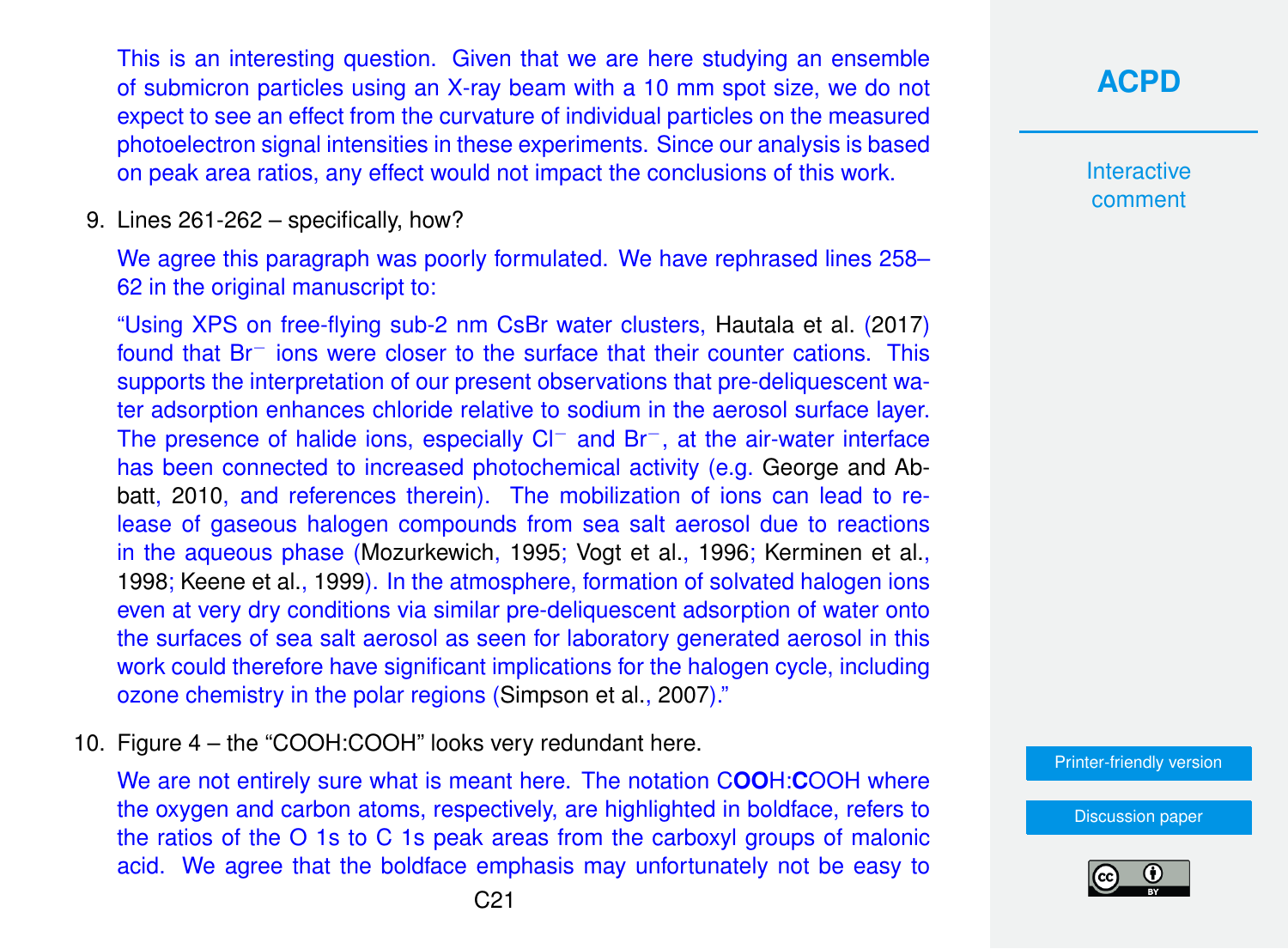This is an interesting question. Given that we are here studying an ensemble of submicron particles using an X-ray beam with a 10 mm spot size, we do not expect to see an effect from the curvature of individual particles on the measured photoelectron signal intensities in these experiments. Since our analysis is based on peak area ratios, any effect would not impact the conclusions of this work.

9. Lines 261-262 – specifically, how?

We agree this paragraph was poorly formulated. We have rephrased lines 258– 62 in the original manuscript to:

"Using XPS on free-flying sub-2 nm CsBr water clusters, [Hautala et al.](#page-23-0) [\(2017\)](#page-23-0) found that Br<sup>−</sup> ions were closer to the surface that their counter cations. This supports the interpretation of our present observations that pre-deliquescent water adsorption enhances chloride relative to sodium in the aerosol surface layer. The presence of halide ions, especially Cl<sup>−</sup> and Br<sup>−</sup>, at the air-water interface has been connected to increased photochemical activity (e.g. [George and Ab](#page-23-0)[batt,](#page-23-0) [2010,](#page-23-0) and references therein). The mobilization of ions can lead to release of gaseous halogen compounds from sea salt aerosol due to reactions in the aqueous phase [\(Mozurkewich,](#page-23-0) [1995;](#page-23-0) [Vogt et al.,](#page-25-0) [1996;](#page-25-0) [Kerminen et al.,](#page-23-0) [1998;](#page-23-0) [Keene et al.,](#page-23-0) [1999\)](#page-23-0). In the atmosphere, formation of solvated halogen ions even at very dry conditions via similar pre-deliquescent adsorption of water onto the surfaces of sea salt aerosol as seen for laboratory generated aerosol in this work could therefore have significant implications for the halogen cycle, including ozone chemistry in the polar regions [\(Simpson et al.,](#page-24-0) [2007\)](#page-24-0)."

10. Figure 4 – the "COOH:COOH" looks very redundant here.

We are not entirely sure what is meant here. The notation C**OO**H:**C**OOH where the oxygen and carbon atoms, respectively, are highlighted in boldface, refers to the ratios of the O 1s to C 1s peak areas from the carboxyl groups of malonic acid. We agree that the boldface emphasis may unfortunately not be easy to **[ACPD](https://acp.copernicus.org/preprints/)**

**Interactive** comment

[Printer-friendly version](https://acp.copernicus.org/preprints/acp-2020-330/acp-2020-330-AC1-print.pdf)

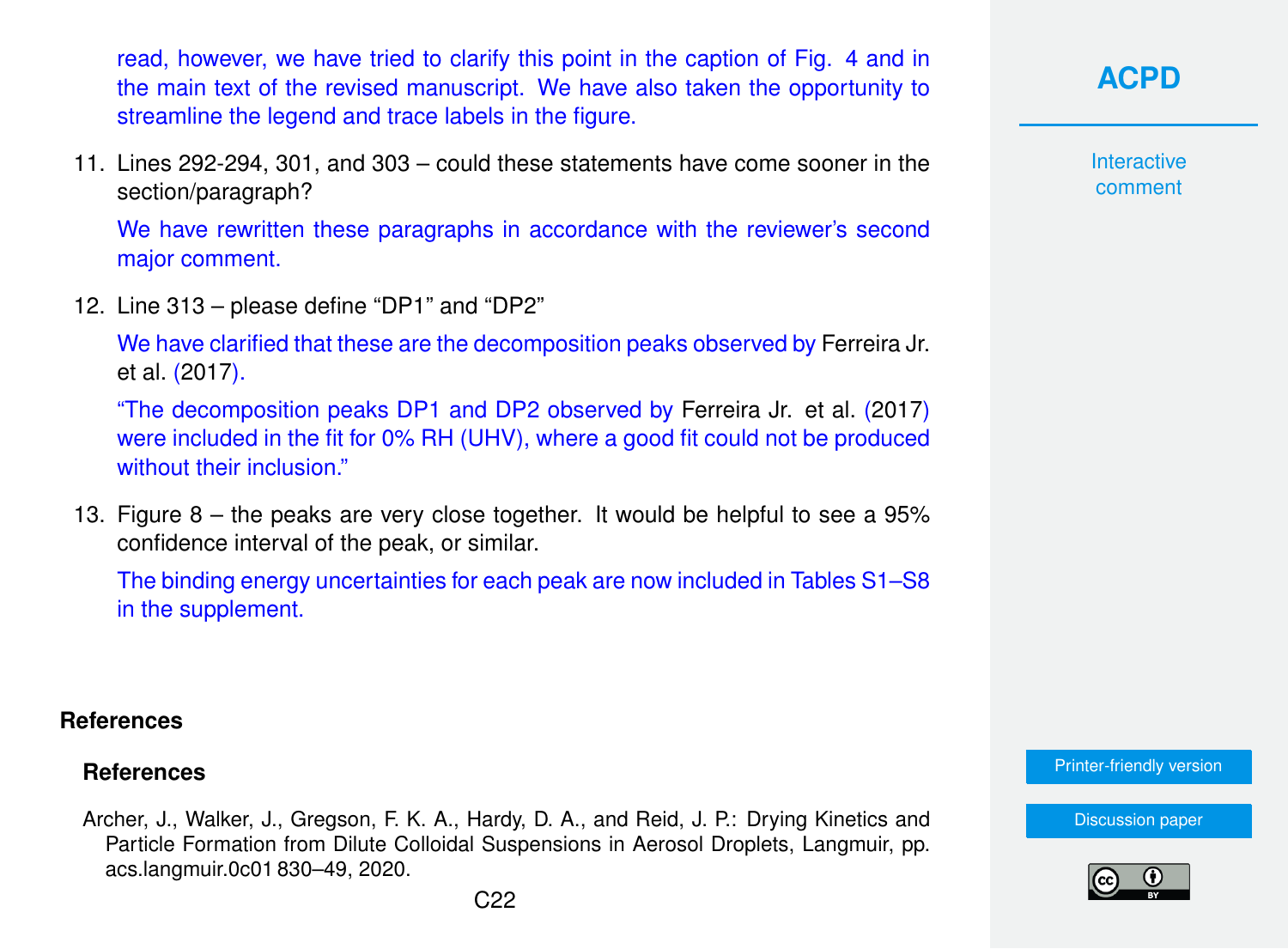<span id="page-21-0"></span>read, however, we have tried to clarify this point in the caption of Fig. 4 and in the main text of the revised manuscript. We have also taken the opportunity to streamline the legend and trace labels in the figure.

11. Lines 292-294, 301, and 303 – could these statements have come sooner in the section/paragraph?

We have rewritten these paragraphs in accordance with the reviewer's second major comment.

12. Line 313 – please define "DP1" and "DP2"

We have clarified that these are the decomposition peaks observed by [Ferreira Jr.](#page-22-0) [et al.](#page-22-0) [\(2017\)](#page-22-0).

"The decomposition peaks DP1 and DP2 observed by [Ferreira Jr. et al.](#page-22-0) [\(2017\)](#page-22-0) were included in the fit for 0% RH (UHV), where a good fit could not be produced without their inclusion."

13. Figure 8 – the peaks are very close together. It would be helpful to see a 95% confidence interval of the peak, or similar.

The binding energy uncertainties for each peak are now included in Tables S1–S8 in the supplement.

#### **References**

### **References**

Archer, J., Walker, J., Gregson, F. K. A., Hardy, D. A., and Reid, J. P.: Drying Kinetics and Particle Formation from Dilute Colloidal Suspensions in Aerosol Droplets, Langmuir, pp. acs.langmuir.0c01 830–49, 2020.

**[ACPD](https://acp.copernicus.org/preprints/)**

**Interactive** comment

[Printer-friendly version](https://acp.copernicus.org/preprints/acp-2020-330/acp-2020-330-AC1-print.pdf)

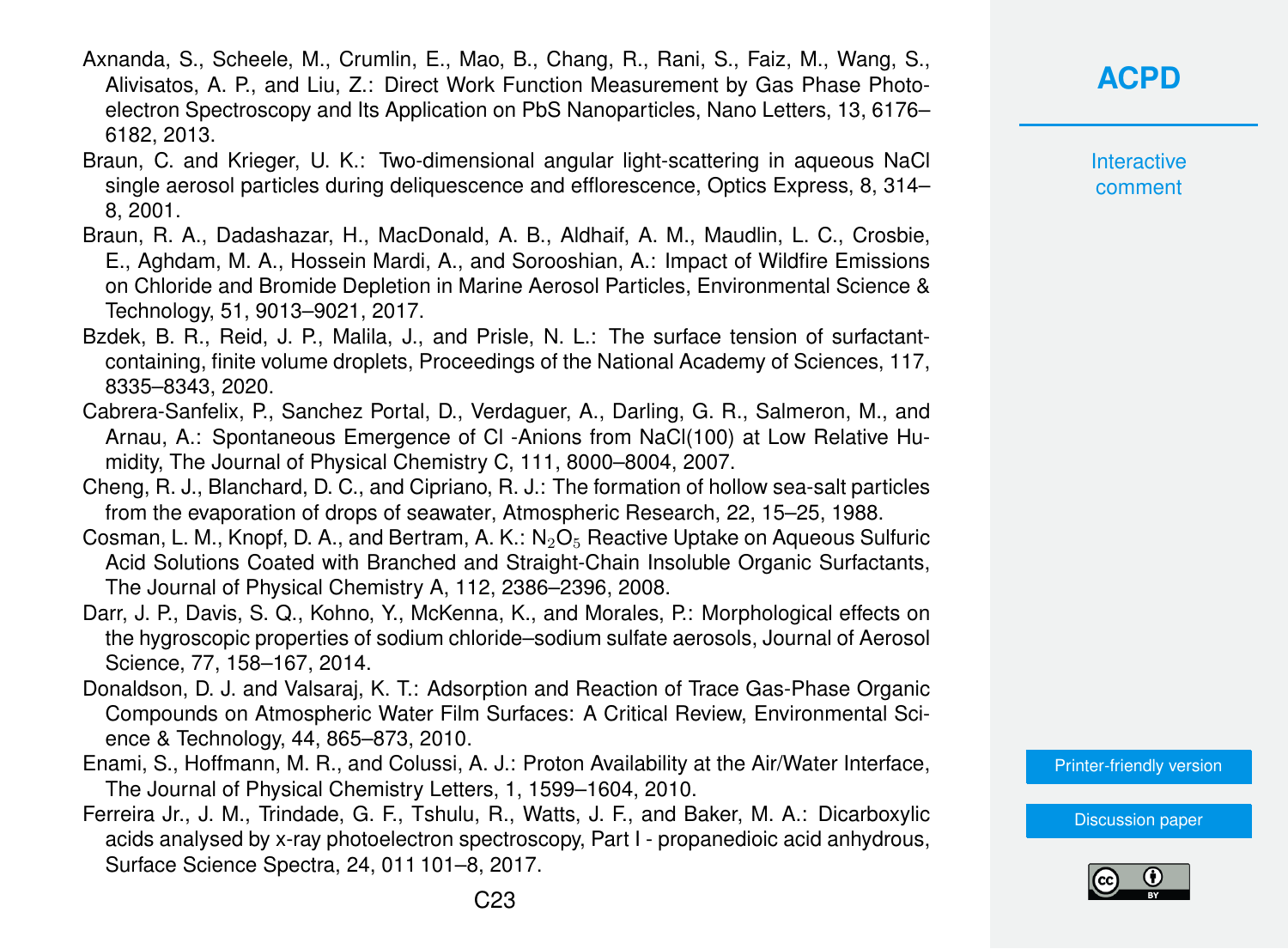- <span id="page-22-0"></span>Axnanda, S., Scheele, M., Crumlin, E., Mao, B., Chang, R., Rani, S., Faiz, M., Wang, S., Alivisatos, A. P., and Liu, Z.: Direct Work Function Measurement by Gas Phase Photoelectron Spectroscopy and Its Application on PbS Nanoparticles, Nano Letters, 13, 6176– 6182, 2013.
- Braun, C. and Krieger, U. K.: Two-dimensional angular light-scattering in aqueous NaCl single aerosol particles during deliquescence and efflorescence, Optics Express, 8, 314– 8, 2001.
- Braun, R. A., Dadashazar, H., MacDonald, A. B., Aldhaif, A. M., Maudlin, L. C., Crosbie, E., Aghdam, M. A., Hossein Mardi, A., and Sorooshian, A.: Impact of Wildfire Emissions on Chloride and Bromide Depletion in Marine Aerosol Particles, Environmental Science & Technology, 51, 9013–9021, 2017.
- Bzdek, B. R., Reid, J. P., Malila, J., and Prisle, N. L.: The surface tension of surfactantcontaining, finite volume droplets, Proceedings of the National Academy of Sciences, 117, 8335–8343, 2020.
- Cabrera-Sanfelix, P., Sanchez Portal, D., Verdaguer, A., Darling, G. R., Salmeron, M., and Arnau, A.: Spontaneous Emergence of Cl -Anions from NaCl(100) at Low Relative Humidity, The Journal of Physical Chemistry C, 111, 8000–8004, 2007.
- Cheng, R. J., Blanchard, D. C., and Cipriano, R. J.: The formation of hollow sea-salt particles from the evaporation of drops of seawater, Atmospheric Research, 22, 15–25, 1988.
- Cosman, L. M., Knopf, D. A., and Bertram, A. K.:  $N_2O_5$  Reactive Uptake on Aqueous Sulfuric Acid Solutions Coated with Branched and Straight-Chain Insoluble Organic Surfactants, The Journal of Physical Chemistry A, 112, 2386–2396, 2008.
- Darr, J. P., Davis, S. Q., Kohno, Y., McKenna, K., and Morales, P.: Morphological effects on the hygroscopic properties of sodium chloride–sodium sulfate aerosols, Journal of Aerosol Science, 77, 158–167, 2014.
- Donaldson, D. J. and Valsaraj, K. T.: Adsorption and Reaction of Trace Gas-Phase Organic Compounds on Atmospheric Water Film Surfaces: A Critical Review, Environmental Science & Technology, 44, 865–873, 2010.
- Enami, S., Hoffmann, M. R., and Colussi, A. J.: Proton Availability at the Air/Water Interface, The Journal of Physical Chemistry Letters, 1, 1599–1604, 2010.
- Ferreira Jr., J. M., Trindade, G. F., Tshulu, R., Watts, J. F., and Baker, M. A.: Dicarboxylic acids analysed by x-ray photoelectron spectroscopy, Part I - propanedioic acid anhydrous, Surface Science Spectra, 24, 011 101–8, 2017.

**[ACPD](https://acp.copernicus.org/preprints/)**

**Interactive** comment

[Printer-friendly version](https://acp.copernicus.org/preprints/acp-2020-330/acp-2020-330-AC1-print.pdf)

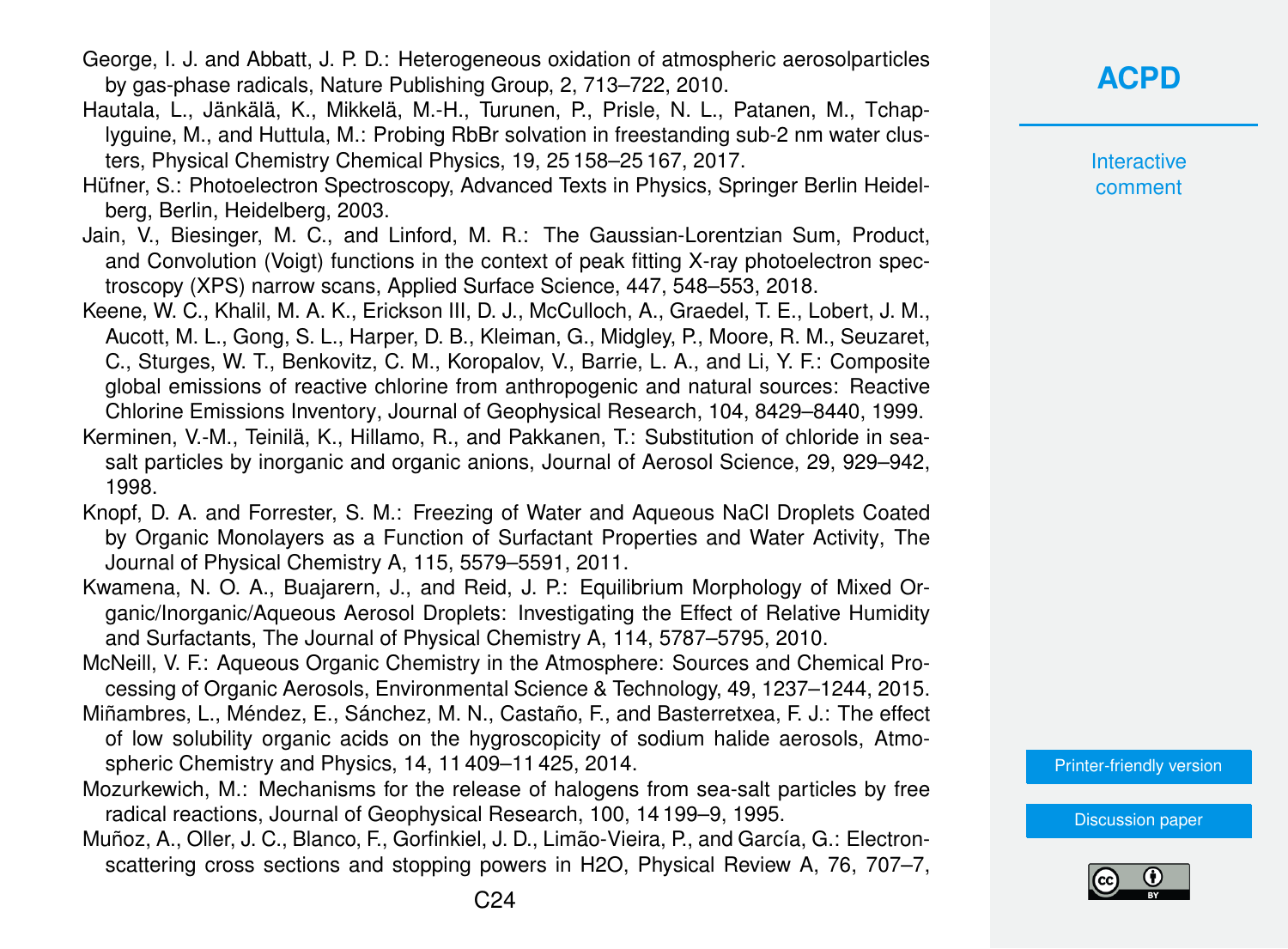- <span id="page-23-0"></span>George, I. J. and Abbatt, J. P. D.: Heterogeneous oxidation of atmospheric aerosolparticles by gas-phase radicals, Nature Publishing Group, 2, 713–722, 2010.
- Hautala, L., Jänkälä, K., Mikkelä, M.-H., Turunen, P., Prisle, N. L., Patanen, M., Tchaplyguine, M., and Huttula, M.: Probing RbBr solvation in freestanding sub-2 nm water clusters, Physical Chemistry Chemical Physics, 19, 25 158–25 167, 2017.
- Hüfner, S.: Photoelectron Spectroscopy, Advanced Texts in Physics, Springer Berlin Heidelberg, Berlin, Heidelberg, 2003.
- Jain, V., Biesinger, M. C., and Linford, M. R.: The Gaussian-Lorentzian Sum, Product, and Convolution (Voigt) functions in the context of peak fitting X-ray photoelectron spectroscopy (XPS) narrow scans, Applied Surface Science, 447, 548–553, 2018.
- Keene, W. C., Khalil, M. A. K., Erickson III, D. J., McCulloch, A., Graedel, T. E., Lobert, J. M., Aucott, M. L., Gong, S. L., Harper, D. B., Kleiman, G., Midgley, P., Moore, R. M., Seuzaret, C., Sturges, W. T., Benkovitz, C. M., Koropalov, V., Barrie, L. A., and Li, Y. F.: Composite global emissions of reactive chlorine from anthropogenic and natural sources: Reactive Chlorine Emissions Inventory, Journal of Geophysical Research, 104, 8429–8440, 1999.
- Kerminen, V.-M., Teinilä, K., Hillamo, R., and Pakkanen, T.: Substitution of chloride in seasalt particles by inorganic and organic anions, Journal of Aerosol Science, 29, 929–942, 1998.
- Knopf, D. A. and Forrester, S. M.: Freezing of Water and Aqueous NaCl Droplets Coated by Organic Monolayers as a Function of Surfactant Properties and Water Activity, The Journal of Physical Chemistry A, 115, 5579–5591, 2011.
- Kwamena, N. O. A., Buajarern, J., and Reid, J. P.: Equilibrium Morphology of Mixed Organic/Inorganic/Aqueous Aerosol Droplets: Investigating the Effect of Relative Humidity and Surfactants, The Journal of Physical Chemistry A, 114, 5787–5795, 2010.
- McNeill, V. F.: Aqueous Organic Chemistry in the Atmosphere: Sources and Chemical Processing of Organic Aerosols, Environmental Science & Technology, 49, 1237–1244, 2015.
- Miñambres, L., Méndez, E., Sánchez, M. N., Castaño, F., and Basterretxea, F. J.: The effect of low solubility organic acids on the hygroscopicity of sodium halide aerosols, Atmospheric Chemistry and Physics, 14, 11 409–11 425, 2014.
- Mozurkewich, M.: Mechanisms for the release of halogens from sea-salt particles by free radical reactions, Journal of Geophysical Research, 100, 14 199–9, 1995.
- Muñoz, A., Oller, J. C., Blanco, F., Gorfinkiel, J. D., Limão-Vieira, P., and García, G.: Electronscattering cross sections and stopping powers in H2O, Physical Review A, 76, 707–7,

### **[ACPD](https://acp.copernicus.org/preprints/)**

**Interactive** comment

[Printer-friendly version](https://acp.copernicus.org/preprints/acp-2020-330/acp-2020-330-AC1-print.pdf)

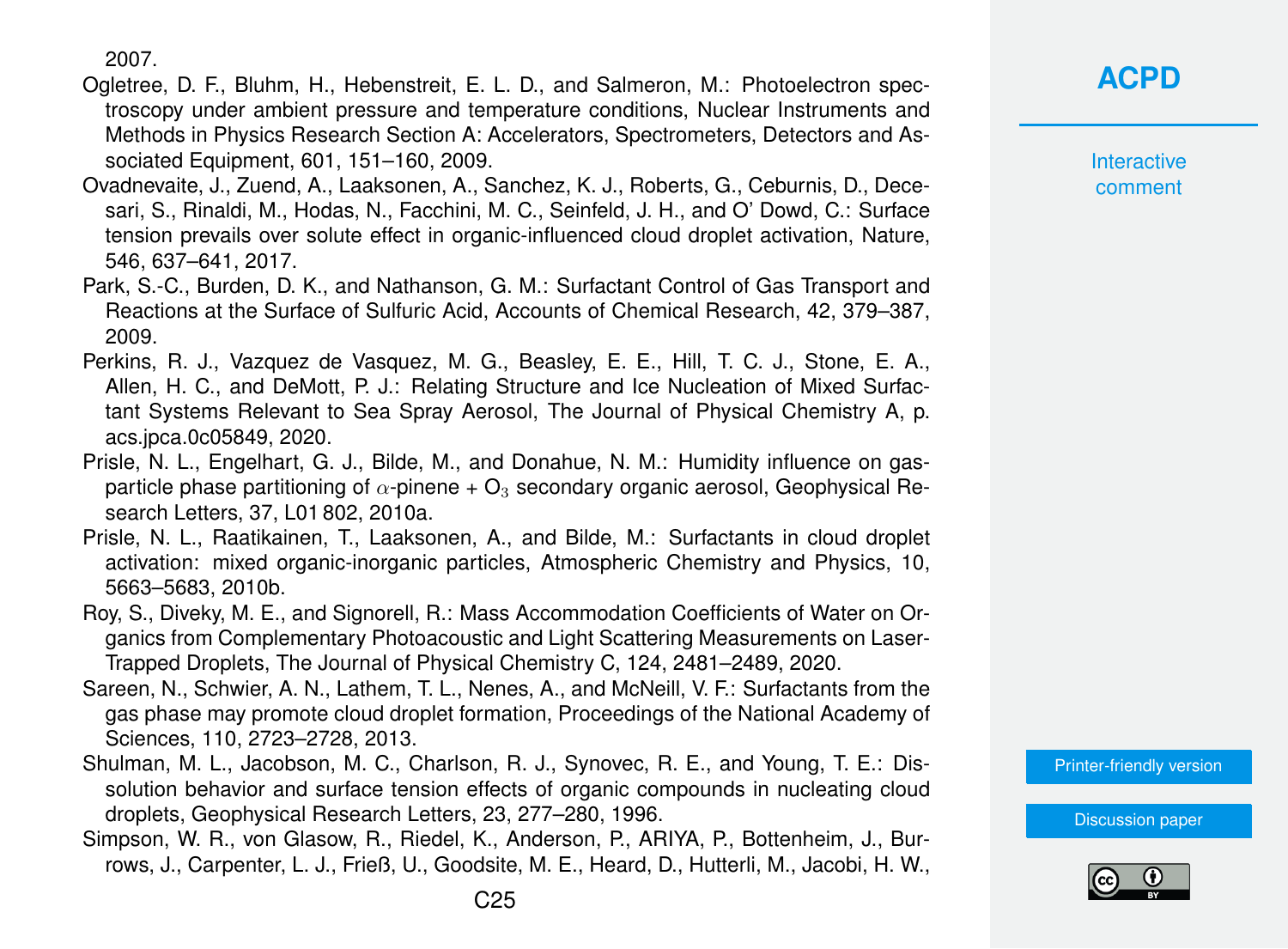2007.

- <span id="page-24-0"></span>Ogletree, D. F., Bluhm, H., Hebenstreit, E. L. D., and Salmeron, M.: Photoelectron spectroscopy under ambient pressure and temperature conditions, Nuclear Instruments and Methods in Physics Research Section A: Accelerators, Spectrometers, Detectors and Associated Equipment, 601, 151–160, 2009.
- Ovadnevaite, J., Zuend, A., Laaksonen, A., Sanchez, K. J., Roberts, G., Ceburnis, D., Decesari, S., Rinaldi, M., Hodas, N., Facchini, M. C., Seinfeld, J. H., and O' Dowd, C.: Surface tension prevails over solute effect in organic-influenced cloud droplet activation, Nature, 546, 637–641, 2017.
- Park, S.-C., Burden, D. K., and Nathanson, G. M.: Surfactant Control of Gas Transport and Reactions at the Surface of Sulfuric Acid, Accounts of Chemical Research, 42, 379–387, 2009.
- Perkins, R. J., Vazquez de Vasquez, M. G., Beasley, E. E., Hill, T. C. J., Stone, E. A., Allen, H. C., and DeMott, P. J.: Relating Structure and Ice Nucleation of Mixed Surfactant Systems Relevant to Sea Spray Aerosol, The Journal of Physical Chemistry A, p. acs.jpca.0c05849, 2020.
- Prisle, N. L., Engelhart, G. J., Bilde, M., and Donahue, N. M.: Humidity influence on gasparticle phase partitioning of  $\alpha$ -pinene +  $\Omega_3$  secondary organic aerosol, Geophysical Research Letters, 37, L01 802, 2010a.
- Prisle, N. L., Raatikainen, T., Laaksonen, A., and Bilde, M.: Surfactants in cloud droplet activation: mixed organic-inorganic particles, Atmospheric Chemistry and Physics, 10, 5663–5683, 2010b.
- Roy, S., Diveky, M. E., and Signorell, R.: Mass Accommodation Coefficients of Water on Organics from Complementary Photoacoustic and Light Scattering Measurements on Laser-Trapped Droplets, The Journal of Physical Chemistry C, 124, 2481–2489, 2020.
- Sareen, N., Schwier, A. N., Lathem, T. L., Nenes, A., and McNeill, V. F.: Surfactants from the gas phase may promote cloud droplet formation, Proceedings of the National Academy of Sciences, 110, 2723–2728, 2013.
- Shulman, M. L., Jacobson, M. C., Charlson, R. J., Synovec, R. E., and Young, T. E.: Dissolution behavior and surface tension effects of organic compounds in nucleating cloud droplets, Geophysical Research Letters, 23, 277–280, 1996.
- Simpson, W. R., von Glasow, R., Riedel, K., Anderson, P., ARIYA, P., Bottenheim, J., Burrows, J., Carpenter, L. J., Frieß, U., Goodsite, M. E., Heard, D., Hutterli, M., Jacobi, H. W.,

# **[ACPD](https://acp.copernicus.org/preprints/)**

**Interactive** comment

[Printer-friendly version](https://acp.copernicus.org/preprints/acp-2020-330/acp-2020-330-AC1-print.pdf)